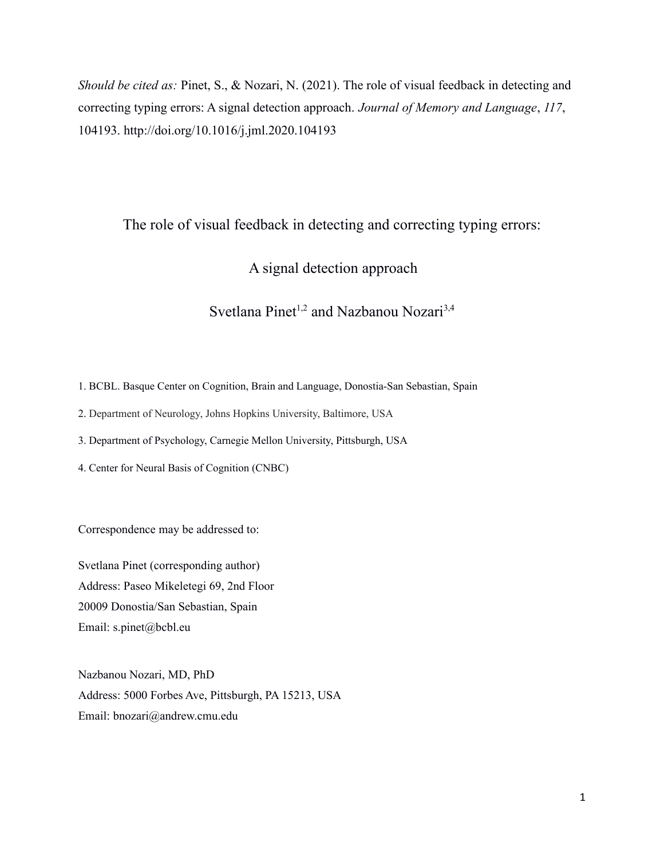*Should be cited as:* Pinet, S., & Nozari, N. (2021). The role of visual feedback in detecting and correcting typing errors: A signal detection approach. *Journal of Memory and Language*, *117*, 104193. http://doi.org/10.1016/j.jml.2020.104193

The role of visual feedback in detecting and correcting typing errors:

## A signal detection approach

# Svetlana Pinet<sup>1,2</sup> and Nazbanou Nozari<sup>3,4</sup>

1. BCBL. Basque Center on Cognition, Brain and Language, Donostia-San Sebastian, Spain

2. Department of Neurology, Johns Hopkins University, Baltimore, USA

3. Department of Psychology, Carnegie Mellon University, Pittsburgh, USA

4. Center for Neural Basis of Cognition (CNBC)

Correspondence may be addressed to:

Svetlana Pinet (corresponding author) Address: Paseo Mikeletegi 69, 2nd Floor 20009 Donostia/San Sebastian, Spain Email: s.pinet@bcbl.eu

Nazbanou Nozari, MD, PhD Address: 5000 Forbes Ave, Pittsburgh, PA 15213, USA Email: bnozari@andrew.cmu.edu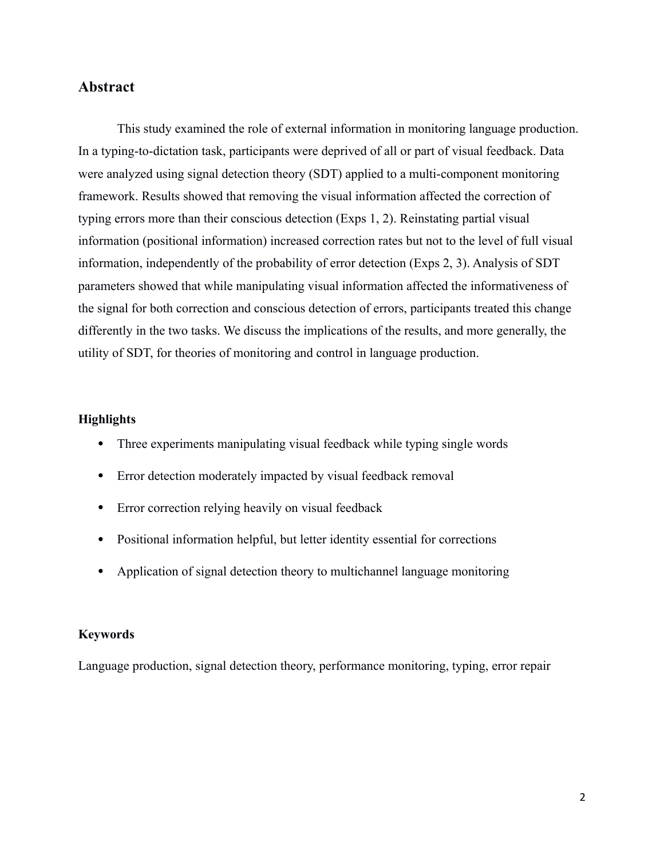## **Abstract**

This study examined the role of external information in monitoring language production. In a typing-to-dictation task, participants were deprived of all or part of visual feedback. Data were analyzed using signal detection theory (SDT) applied to a multi-component monitoring framework. Results showed that removing the visual information affected the correction of typing errors more than their conscious detection (Exps 1, 2). Reinstating partial visual information (positional information) increased correction rates but not to the level of full visual information, independently of the probability of error detection (Exps 2, 3). Analysis of SDT parameters showed that while manipulating visual information affected the informativeness of the signal for both correction and conscious detection of errors, participants treated this change differently in the two tasks. We discuss the implications of the results, and more generally, the utility of SDT, for theories of monitoring and control in language production.

## **Highlights**

- Three experiments manipulating visual feedback while typing single words
- Error detection moderately impacted by visual feedback removal
- Error correction relying heavily on visual feedback
- Positional information helpful, but letter identity essential for corrections
- Application of signal detection theory to multichannel language monitoring

### **Keywords**

Language production, signal detection theory, performance monitoring, typing, error repair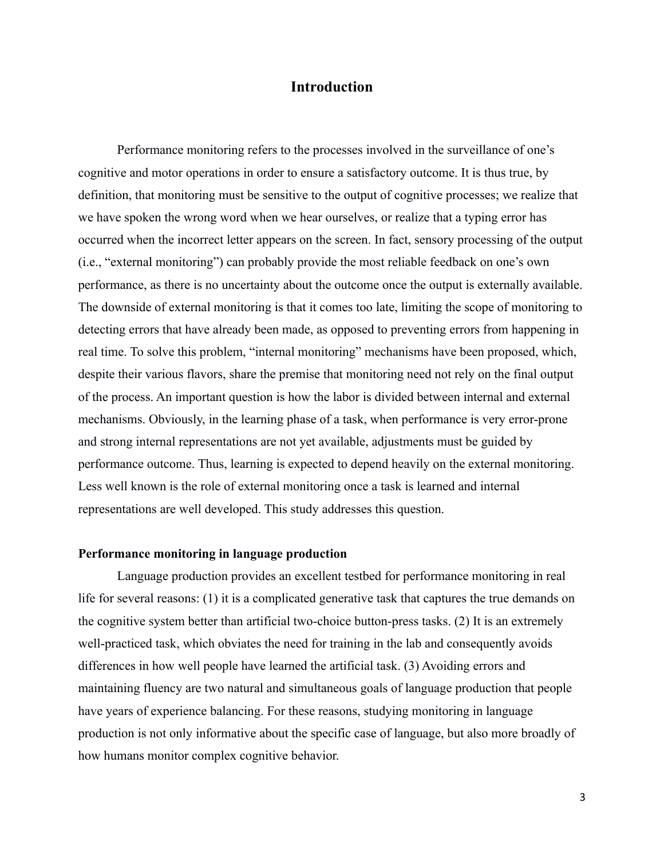## **Introduction**

Performance monitoring refers to the processes involved in the surveillance of one's cognitive and motor operations in order to ensure a satisfactory outcome. It is thus true, by definition, that monitoring must be sensitive to the output of cognitive processes; we realize that we have spoken the wrong word when we hear ourselves, or realize that a typing error has occurred when the incorrect letter appears on the screen. In fact, sensory processing of the output (i.e., "external monitoring") can probably provide the most reliable feedback on one's own performance, as there is no uncertainty about the outcome once the output is externally available. The downside of external monitoring is that it comes too late, limiting the scope of monitoring to detecting errors that have already been made, as opposed to preventing errors from happening in real time. To solve this problem, "internal monitoring" mechanisms have been proposed, which, despite their various flavors, share the premise that monitoring need not rely on the final output of the process. An important question is how the labor is divided between internal and external mechanisms. Obviously, in the learning phase of a task, when performance is very error-prone and strong internal representations are not yet available, adjustments must be guided by performance outcome. Thus, learning is expected to depend heavily on the external monitoring. Less well known is the role of external monitoring once a task is learned and internal representations are well developed. This study addresses this question.

### **Performance monitoring in language production**

Language production provides an excellent testbed for performance monitoring in real life for several reasons: (1) it is a complicated generative task that captures the true demands on the cognitive system better than artificial two-choice button-press tasks. (2) It is an extremely well-practiced task, which obviates the need for training in the lab and consequently avoids differences in how well people have learned the artificial task. (3) Avoiding errors and maintaining fluency are two natural and simultaneous goals of language production that people have years of experience balancing. For these reasons, studying monitoring in language production is not only informative about the specific case of language, but also more broadly of how humans monitor complex cognitive behavior.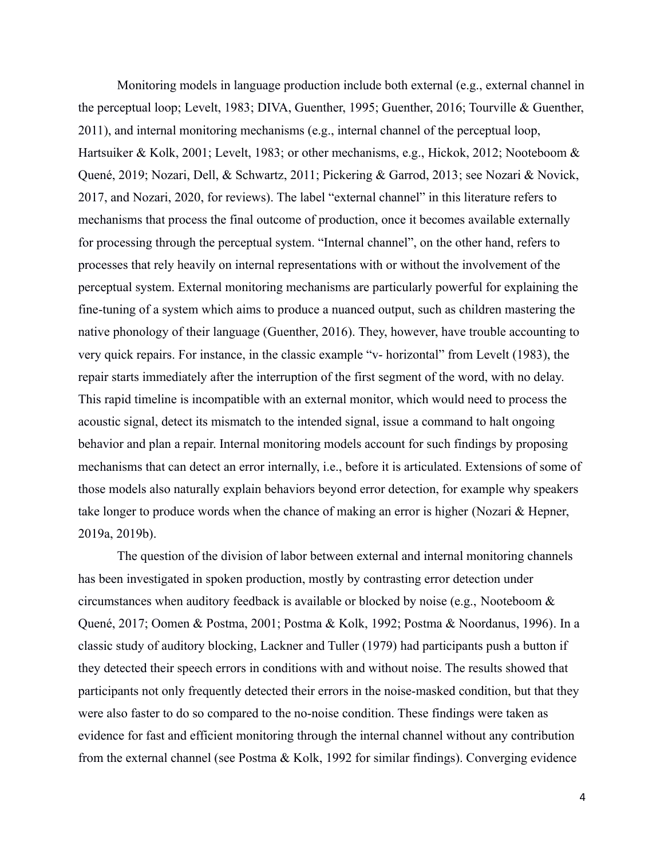Monitoring models in language production include both external (e.g., external channel in the perceptual loop; Levelt, 1983; DIVA, Guenther, 1995; Guenther, 2016; Tourville & Guenther, 2011), and internal monitoring mechanisms (e.g., internal channel of the perceptual loop, Hartsuiker & Kolk, 2001; Levelt, 1983; or other mechanisms, e.g., Hickok, 2012; Nooteboom & Quené, 2019; Nozari, Dell, & Schwartz, 2011; Pickering & Garrod, 2013; see Nozari & Novick, 2017, and Nozari, 2020, for reviews). The label "external channel" in this literature refers to mechanisms that process the final outcome of production, once it becomes available externally for processing through the perceptual system. "Internal channel", on the other hand, refers to processes that rely heavily on internal representations with or without the involvement of the perceptual system. External monitoring mechanisms are particularly powerful for explaining the fine-tuning of a system which aims to produce a nuanced output, such as children mastering the native phonology of their language (Guenther, 2016). They, however, have trouble accounting to very quick repairs. For instance, in the classic example "v- horizontal" from Levelt (1983), the repair starts immediately after the interruption of the first segment of the word, with no delay. This rapid timeline is incompatible with an external monitor, which would need to process the acoustic signal, detect its mismatch to the intended signal, issue a command to halt ongoing behavior and plan a repair. Internal monitoring models account for such findings by proposing mechanisms that can detect an error internally, i.e., before it is articulated. Extensions of some of those models also naturally explain behaviors beyond error detection, for example why speakers take longer to produce words when the chance of making an error is higher (Nozari & Hepner, 2019a, 2019b).

The question of the division of labor between external and internal monitoring channels has been investigated in spoken production, mostly by contrasting error detection under circumstances when auditory feedback is available or blocked by noise (e.g., Nooteboom & Quené, 2017; Oomen & Postma, 2001; Postma & Kolk, 1992; Postma & Noordanus, 1996). In a classic study of auditory blocking, Lackner and Tuller (1979) had participants push a button if they detected their speech errors in conditions with and without noise. The results showed that participants not only frequently detected their errors in the noise-masked condition, but that they were also faster to do so compared to the no-noise condition. These findings were taken as evidence for fast and efficient monitoring through the internal channel without any contribution from the external channel (see Postma & Kolk, 1992 for similar findings). Converging evidence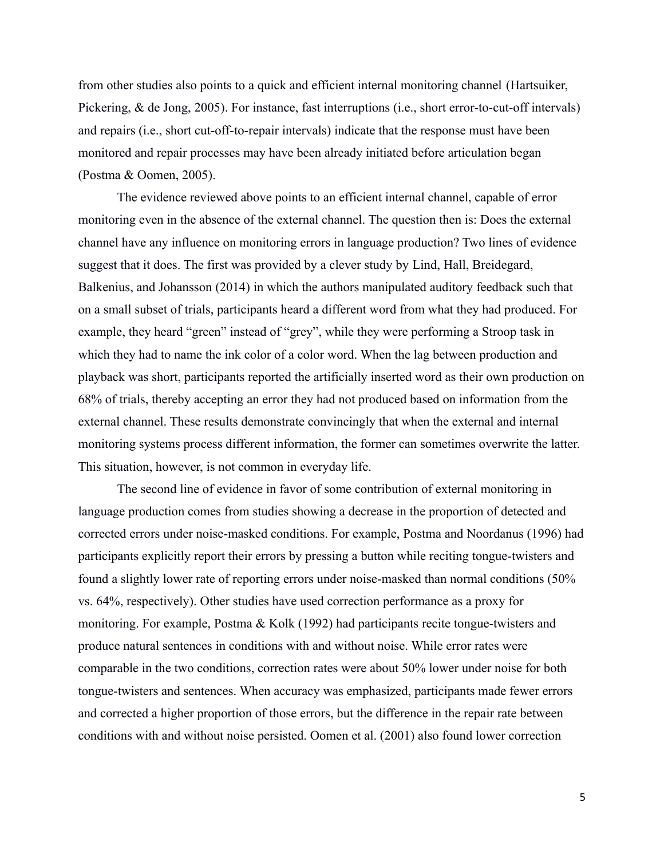from other studies also points to a quick and efficient internal monitoring channel (Hartsuiker, Pickering, & de Jong, 2005). For instance, fast interruptions (i.e., short error-to-cut-off intervals) and repairs (i.e., short cut-off-to-repair intervals) indicate that the response must have been monitored and repair processes may have been already initiated before articulation began (Postma & Oomen, 2005).

The evidence reviewed above points to an efficient internal channel, capable of error monitoring even in the absence of the external channel. The question then is: Does the external channel have any influence on monitoring errors in language production? Two lines of evidence suggest that it does. The first was provided by a clever study by Lind, Hall, Breidegard, Balkenius, and Johansson (2014) in which the authors manipulated auditory feedback such that on a small subset of trials, participants heard a different word from what they had produced. For example, they heard "green" instead of "grey", while they were performing a Stroop task in which they had to name the ink color of a color word. When the lag between production and playback was short, participants reported the artificially inserted word as their own production on 68% of trials, thereby accepting an error they had not produced based on information from the external channel. These results demonstrate convincingly that when the external and internal monitoring systems process different information, the former can sometimes overwrite the latter. This situation, however, is not common in everyday life.

The second line of evidence in favor of some contribution of external monitoring in language production comes from studies showing a decrease in the proportion of detected and corrected errors under noise-masked conditions. For example, Postma and Noordanus (1996) had participants explicitly report their errors by pressing a button while reciting tongue-twisters and found a slightly lower rate of reporting errors under noise-masked than normal conditions (50% vs. 64%, respectively). Other studies have used correction performance as a proxy for monitoring. For example, Postma & Kolk (1992) had participants recite tongue-twisters and produce natural sentences in conditions with and without noise. While error rates were comparable in the two conditions, correction rates were about 50% lower under noise for both tongue-twisters and sentences. When accuracy was emphasized, participants made fewer errors and corrected a higher proportion of those errors, but the difference in the repair rate between conditions with and without noise persisted. Oomen et al. (2001) also found lower correction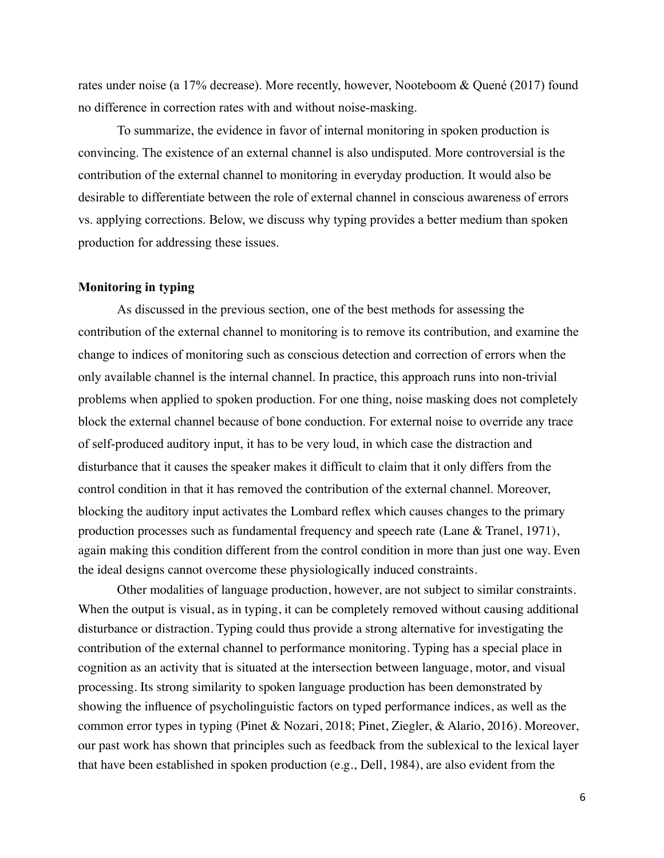rates under noise (a 17% decrease). More recently, however, Nooteboom & Quené (2017) found no difference in correction rates with and without noise-masking.

To summarize, the evidence in favor of internal monitoring in spoken production is convincing. The existence of an external channel is also undisputed. More controversial is the contribution of the external channel to monitoring in everyday production. It would also be desirable to differentiate between the role of external channel in conscious awareness of errors vs. applying corrections. Below, we discuss why typing provides a better medium than spoken production for addressing these issues.

#### **Monitoring in typing**

As discussed in the previous section, one of the best methods for assessing the contribution of the external channel to monitoring is to remove its contribution, and examine the change to indices of monitoring such as conscious detection and correction of errors when the only available channel is the internal channel. In practice, this approach runs into non-trivial problems when applied to spoken production. For one thing, noise masking does not completely block the external channel because of bone conduction. For external noise to override any trace of self-produced auditory input, it has to be very loud, in which case the distraction and disturbance that it causes the speaker makes it difficult to claim that it only differs from the control condition in that it has removed the contribution of the external channel. Moreover, blocking the auditory input activates the Lombard reflex which causes changes to the primary production processes such as fundamental frequency and speech rate (Lane & Tranel, 1971), again making this condition different from the control condition in more than just one way. Even the ideal designs cannot overcome these physiologically induced constraints.

Other modalities of language production, however, are not subject to similar constraints. When the output is visual, as in typing, it can be completely removed without causing additional disturbance or distraction. Typing could thus provide a strong alternative for investigating the contribution of the external channel to performance monitoring. Typing has a special place in cognition as an activity that is situated at the intersection between language, motor, and visual processing. Its strong similarity to spoken language production has been demonstrated by showing the influence of psycholinguistic factors on typed performance indices, as well as the common error types in typing (Pinet & Nozari, 2018; Pinet, Ziegler, & Alario, 2016). Moreover, our past work has shown that principles such as feedback from the sublexical to the lexical layer that have been established in spoken production (e.g., Dell, 1984), are also evident from the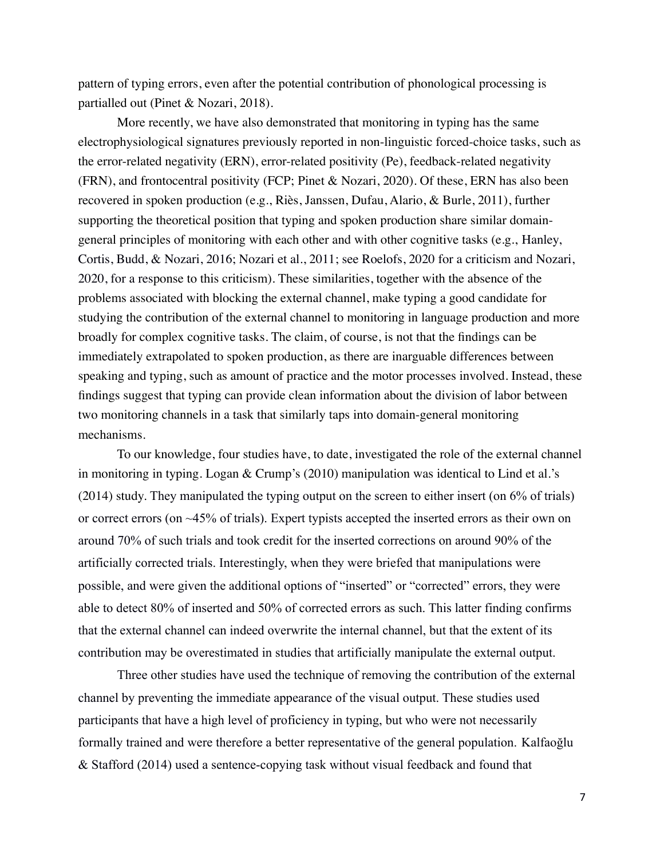pattern of typing errors, even after the potential contribution of phonological processing is partialled out (Pinet & Nozari, 2018).

More recently, we have also demonstrated that monitoring in typing has the same electrophysiological signatures previously reported in non-linguistic forced-choice tasks, such as the error-related negativity (ERN), error-related positivity (Pe), feedback-related negativity (FRN), and frontocentral positivity (FCP; Pinet & Nozari, 2020). Of these, ERN has also been recovered in spoken production (e.g., Riès, Janssen, Dufau, Alario, & Burle, 2011), further supporting the theoretical position that typing and spoken production share similar domaingeneral principles of monitoring with each other and with other cognitive tasks (e.g., Hanley, Cortis, Budd, & Nozari, 2016; Nozari et al., 2011; see Roelofs, 2020 for a criticism and Nozari, 2020, for a response to this criticism). These similarities, together with the absence of the problems associated with blocking the external channel, make typing a good candidate for studying the contribution of the external channel to monitoring in language production and more broadly for complex cognitive tasks. The claim, of course, is not that the findings can be immediately extrapolated to spoken production, as there are inarguable differences between speaking and typing, such as amount of practice and the motor processes involved. Instead, these findings suggest that typing can provide clean information about the division of labor between two monitoring channels in a task that similarly taps into domain-general monitoring mechanisms.

To our knowledge, four studies have, to date, investigated the role of the external channel in monitoring in typing. Logan & Crump's (2010) manipulation was identical to Lind et al.'s (2014) study. They manipulated the typing output on the screen to either insert (on 6% of trials) or correct errors (on ~45% of trials). Expert typists accepted the inserted errors as their own on around 70% of such trials and took credit for the inserted corrections on around 90% of the artificially corrected trials. Interestingly, when they were briefed that manipulations were possible, and were given the additional options of "inserted" or "corrected" errors, they were able to detect 80% of inserted and 50% of corrected errors as such. This latter finding confirms that the external channel can indeed overwrite the internal channel, but that the extent of its contribution may be overestimated in studies that artificially manipulate the external output.

Three other studies have used the technique of removing the contribution of the external channel by preventing the immediate appearance of the visual output. These studies used participants that have a high level of proficiency in typing, but who were not necessarily formally trained and were therefore a better representative of the general population. Kalfaoğlu & Stafford (2014) used a sentence-copying task without visual feedback and found that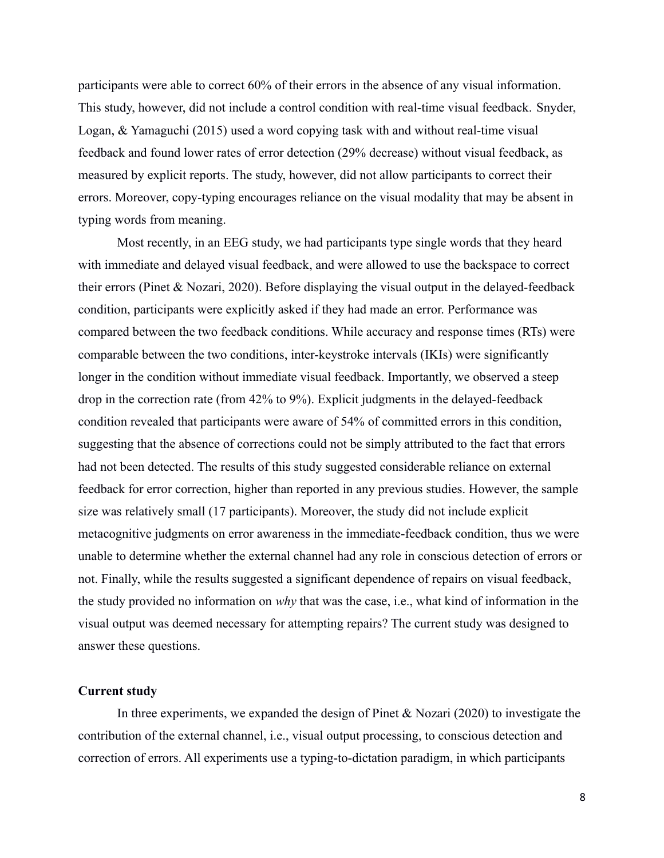participants were able to correct 60% of their errors in the absence of any visual information. This study, however, did not include a control condition with real-time visual feedback. Snyder, Logan, & Yamaguchi (2015) used a word copying task with and without real-time visual feedback and found lower rates of error detection (29% decrease) without visual feedback, as measured by explicit reports. The study, however, did not allow participants to correct their errors. Moreover, copy-typing encourages reliance on the visual modality that may be absent in typing words from meaning.

Most recently, in an EEG study, we had participants type single words that they heard with immediate and delayed visual feedback, and were allowed to use the backspace to correct their errors (Pinet & Nozari, 2020). Before displaying the visual output in the delayed-feedback condition, participants were explicitly asked if they had made an error. Performance was compared between the two feedback conditions. While accuracy and response times (RTs) were comparable between the two conditions, inter-keystroke intervals (IKIs) were significantly longer in the condition without immediate visual feedback. Importantly, we observed a steep drop in the correction rate (from 42% to 9%). Explicit judgments in the delayed-feedback condition revealed that participants were aware of 54% of committed errors in this condition, suggesting that the absence of corrections could not be simply attributed to the fact that errors had not been detected. The results of this study suggested considerable reliance on external feedback for error correction, higher than reported in any previous studies. However, the sample size was relatively small (17 participants). Moreover, the study did not include explicit metacognitive judgments on error awareness in the immediate-feedback condition, thus we were unable to determine whether the external channel had any role in conscious detection of errors or not. Finally, while the results suggested a significant dependence of repairs on visual feedback, the study provided no information on *why* that was the case, i.e., what kind of information in the visual output was deemed necessary for attempting repairs? The current study was designed to answer these questions.

## **Current study**

In three experiments, we expanded the design of Pinet  $\&$  Nozari (2020) to investigate the contribution of the external channel, i.e., visual output processing, to conscious detection and correction of errors. All experiments use a typing-to-dictation paradigm, in which participants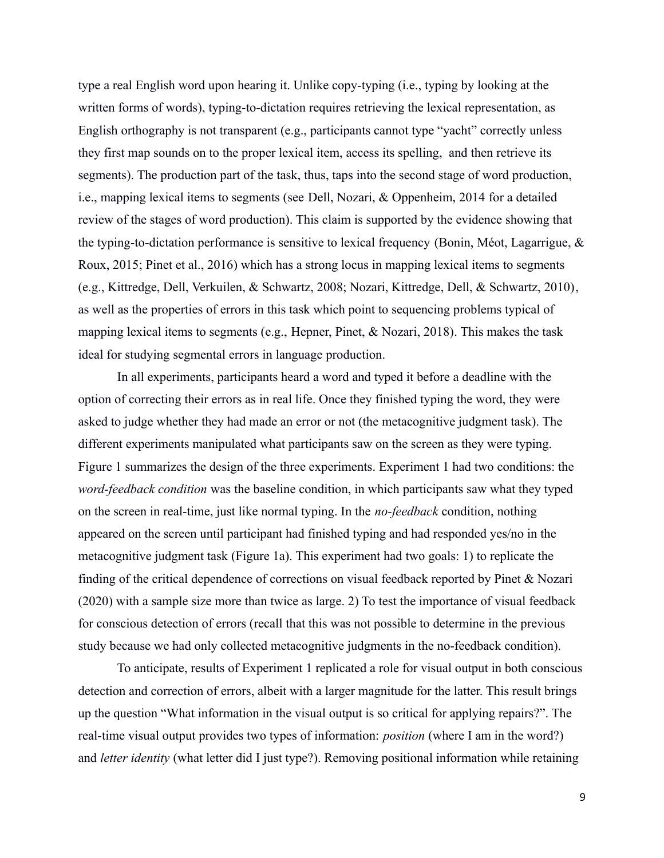type a real English word upon hearing it. Unlike copy-typing (i.e., typing by looking at the written forms of words), typing-to-dictation requires retrieving the lexical representation, as English orthography is not transparent (e.g., participants cannot type "yacht" correctly unless they first map sounds on to the proper lexical item, access its spelling, and then retrieve its segments). The production part of the task, thus, taps into the second stage of word production, i.e., mapping lexical items to segments (see Dell, Nozari, & Oppenheim, 2014 for a detailed review of the stages of word production). This claim is supported by the evidence showing that the typing-to-dictation performance is sensitive to lexical frequency (Bonin, Méot, Lagarrigue, & Roux, 2015; Pinet et al., 2016) which has a strong locus in mapping lexical items to segments (e.g., Kittredge, Dell, Verkuilen, & Schwartz, 2008; Nozari, Kittredge, Dell, & Schwartz, 2010), as well as the properties of errors in this task which point to sequencing problems typical of mapping lexical items to segments (e.g., Hepner, Pinet, & Nozari, 2018). This makes the task ideal for studying segmental errors in language production.

In all experiments, participants heard a word and typed it before a deadline with the option of correcting their errors as in real life. Once they finished typing the word, they were asked to judge whether they had made an error or not (the metacognitive judgment task). The different experiments manipulated what participants saw on the screen as they were typing. Figure 1 summarizes the design of the three experiments. Experiment 1 had two conditions: the *word-feedback condition* was the baseline condition, in which participants saw what they typed on the screen in real-time, just like normal typing. In the *no-feedback* condition, nothing appeared on the screen until participant had finished typing and had responded yes/no in the metacognitive judgment task (Figure 1a). This experiment had two goals: 1) to replicate the finding of the critical dependence of corrections on visual feedback reported by Pinet & Nozari (2020) with a sample size more than twice as large. 2) To test the importance of visual feedback for conscious detection of errors (recall that this was not possible to determine in the previous study because we had only collected metacognitive judgments in the no-feedback condition).

To anticipate, results of Experiment 1 replicated a role for visual output in both conscious detection and correction of errors, albeit with a larger magnitude for the latter. This result brings up the question "What information in the visual output is so critical for applying repairs?". The real-time visual output provides two types of information: *position* (where I am in the word?) and *letter identity* (what letter did I just type?). Removing positional information while retaining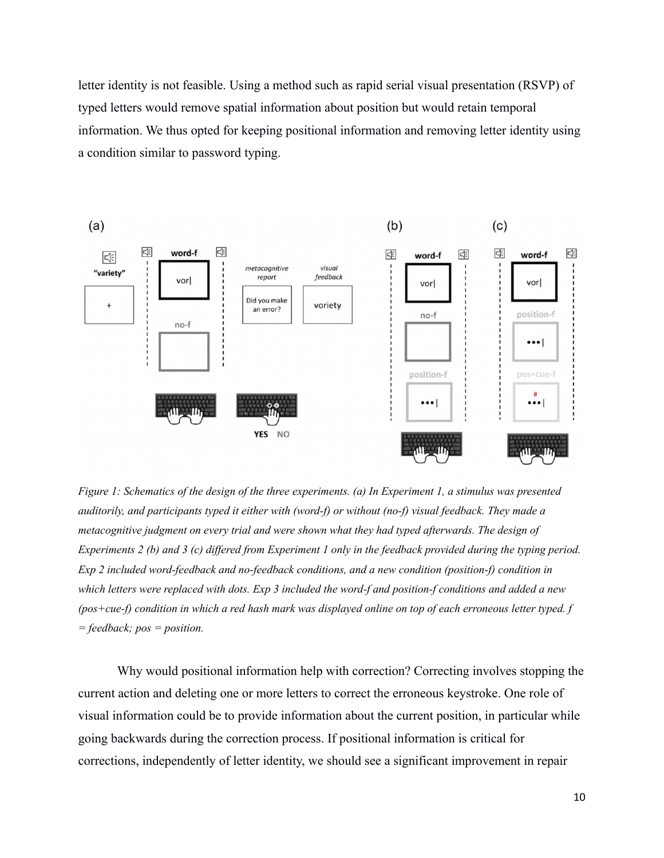letter identity is not feasible. Using a method such as rapid serial visual presentation (RSVP) of typed letters would remove spatial information about position but would retain temporal information. We thus opted for keeping positional information and removing letter identity using a condition similar to password typing.



*Figure 1: Schematics of the design of the three experiments. (a) In Experiment 1, a stimulus was presented auditorily, and participants typed it either with (word-f) or without (no-f) visual feedback. They made a metacognitive judgment on every trial and were shown what they had typed afterwards. The design of Experiments 2 (b) and 3 (c) differed from Experiment 1 only in the feedback provided during the typing period. Exp 2 included word-feedback and no-feedback conditions, and a new condition (position-f) condition in which letters were replaced with dots. Exp 3 included the word-f and position-f conditions and added a new (pos+cue-f) condition in which a red hash mark was displayed online on top of each erroneous letter typed. f = feedback; pos = position.* 

Why would positional information help with correction? Correcting involves stopping the current action and deleting one or more letters to correct the erroneous keystroke. One role of visual information could be to provide information about the current position, in particular while going backwards during the correction process. If positional information is critical for corrections, independently of letter identity, we should see a significant improvement in repair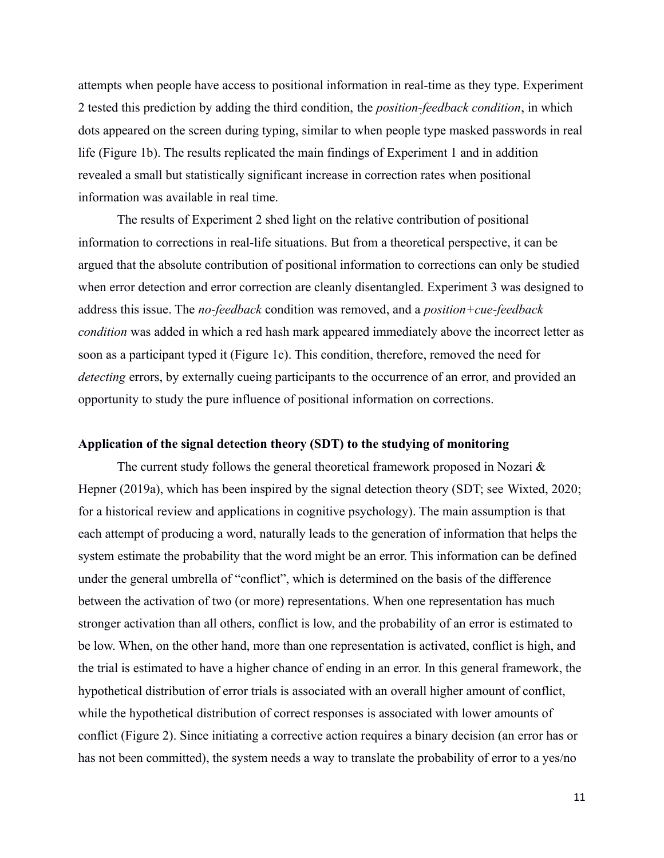attempts when people have access to positional information in real-time as they type. Experiment 2 tested this prediction by adding the third condition, the *position-feedback condition*, in which dots appeared on the screen during typing, similar to when people type masked passwords in real life (Figure 1b). The results replicated the main findings of Experiment 1 and in addition revealed a small but statistically significant increase in correction rates when positional information was available in real time.

The results of Experiment 2 shed light on the relative contribution of positional information to corrections in real-life situations. But from a theoretical perspective, it can be argued that the absolute contribution of positional information to corrections can only be studied when error detection and error correction are cleanly disentangled. Experiment 3 was designed to address this issue. The *no-feedback* condition was removed, and a *position+cue-feedback condition* was added in which a red hash mark appeared immediately above the incorrect letter as soon as a participant typed it (Figure 1c). This condition, therefore, removed the need for *detecting* errors, by externally cueing participants to the occurrence of an error, and provided an opportunity to study the pure influence of positional information on corrections.

#### **Application of the signal detection theory (SDT) to the studying of monitoring**

The current study follows the general theoretical framework proposed in Nozari & Hepner (2019a), which has been inspired by the signal detection theory (SDT; see Wixted, 2020; for a historical review and applications in cognitive psychology). The main assumption is that each attempt of producing a word, naturally leads to the generation of information that helps the system estimate the probability that the word might be an error. This information can be defined under the general umbrella of "conflict", which is determined on the basis of the difference between the activation of two (or more) representations. When one representation has much stronger activation than all others, conflict is low, and the probability of an error is estimated to be low. When, on the other hand, more than one representation is activated, conflict is high, and the trial is estimated to have a higher chance of ending in an error. In this general framework, the hypothetical distribution of error trials is associated with an overall higher amount of conflict, while the hypothetical distribution of correct responses is associated with lower amounts of conflict (Figure 2). Since initiating a corrective action requires a binary decision (an error has or has not been committed), the system needs a way to translate the probability of error to a yes/no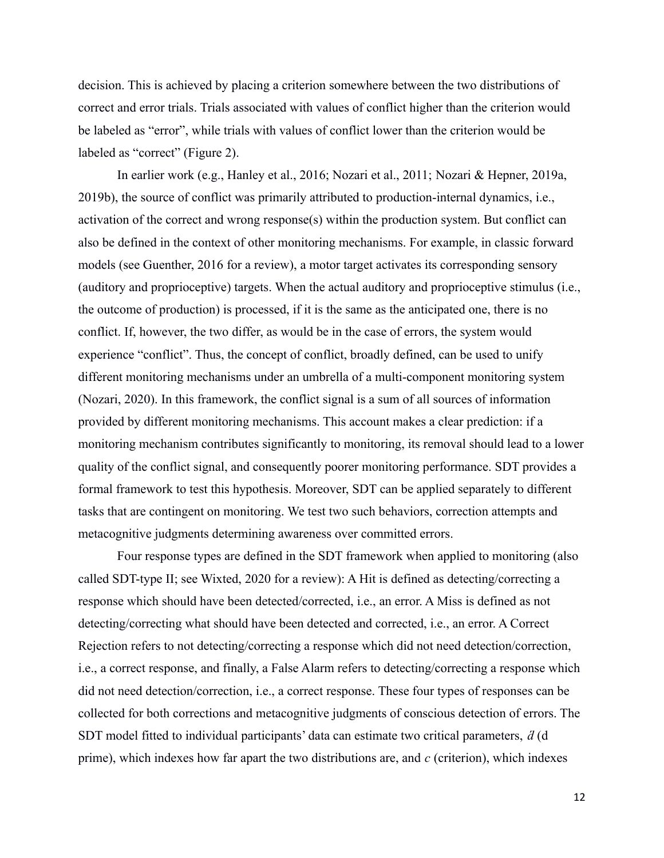decision. This is achieved by placing a criterion somewhere between the two distributions of correct and error trials. Trials associated with values of conflict higher than the criterion would be labeled as "error", while trials with values of conflict lower than the criterion would be labeled as "correct" (Figure 2).

In earlier work (e.g., Hanley et al., 2016; Nozari et al., 2011; Nozari & Hepner, 2019a, 2019b), the source of conflict was primarily attributed to production-internal dynamics, i.e., activation of the correct and wrong response(s) within the production system. But conflict can also be defined in the context of other monitoring mechanisms. For example, in classic forward models (see Guenther, 2016 for a review), a motor target activates its corresponding sensory (auditory and proprioceptive) targets. When the actual auditory and proprioceptive stimulus (i.e., the outcome of production) is processed, if it is the same as the anticipated one, there is no conflict. If, however, the two differ, as would be in the case of errors, the system would experience "conflict". Thus, the concept of conflict, broadly defined, can be used to unify different monitoring mechanisms under an umbrella of a multi-component monitoring system (Nozari, 2020). In this framework, the conflict signal is a sum of all sources of information provided by different monitoring mechanisms. This account makes a clear prediction: if a monitoring mechanism contributes significantly to monitoring, its removal should lead to a lower quality of the conflict signal, and consequently poorer monitoring performance. SDT provides a formal framework to test this hypothesis. Moreover, SDT can be applied separately to different tasks that are contingent on monitoring. We test two such behaviors, correction attempts and metacognitive judgments determining awareness over committed errors.

Four response types are defined in the SDT framework when applied to monitoring (also called SDT-type II; see Wixted, 2020 for a review): A Hit is defined as detecting/correcting a response which should have been detected/corrected, i.e., an error. A Miss is defined as not detecting/correcting what should have been detected and corrected, i.e., an error. A Correct Rejection refers to not detecting/correcting a response which did not need detection/correction, i.e., a correct response, and finally, a False Alarm refers to detecting/correcting a response which did not need detection/correction, i.e., a correct response. These four types of responses can be collected for both corrections and metacognitive judgments of conscious detection of errors. The SDT model fitted to individual participants' data can estimate two critical parameters, *d́* (d prime), which indexes how far apart the two distributions are, and *c* (criterion), which indexes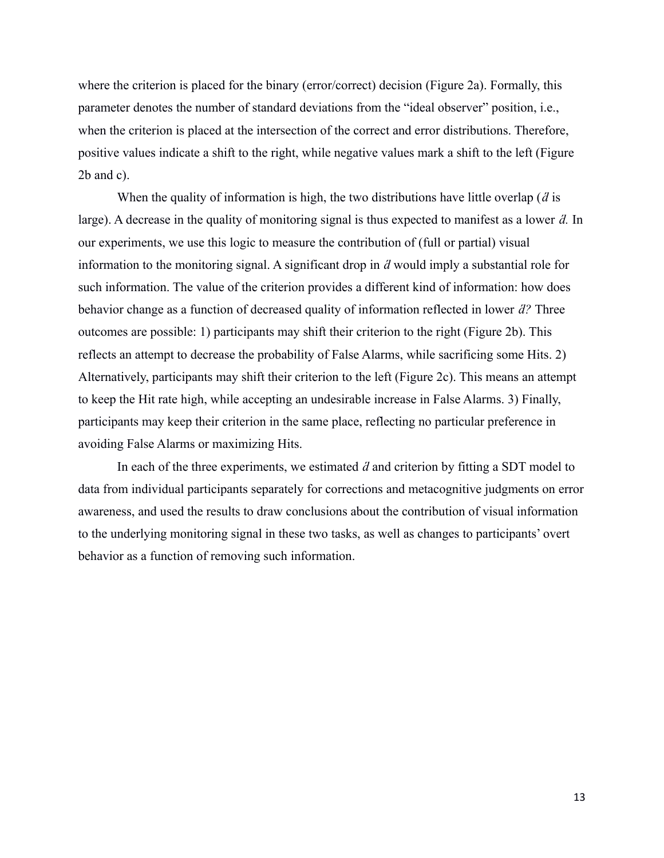where the criterion is placed for the binary (error/correct) decision (Figure 2a). Formally, this parameter denotes the number of standard deviations from the "ideal observer" position, i.e., when the criterion is placed at the intersection of the correct and error distributions. Therefore, positive values indicate a shift to the right, while negative values mark a shift to the left (Figure 2b and c).

When the quality of information is high, the two distributions have little overlap (*d́* is large). A decrease in the quality of monitoring signal is thus expected to manifest as a lower *d́ .* In our experiments, we use this logic to measure the contribution of (full or partial) visual information to the monitoring signal. A significant drop in *d́* would imply a substantial role for such information. The value of the criterion provides a different kind of information: how does behavior change as a function of decreased quality of information reflected in lower *d*? Three outcomes are possible: 1) participants may shift their criterion to the right (Figure 2b). This reflects an attempt to decrease the probability of False Alarms, while sacrificing some Hits. 2) Alternatively, participants may shift their criterion to the left (Figure 2c). This means an attempt to keep the Hit rate high, while accepting an undesirable increase in False Alarms. 3) Finally, participants may keep their criterion in the same place, reflecting no particular preference in avoiding False Alarms or maximizing Hits.

In each of the three experiments, we estimated *d́* and criterion by fitting a SDT model to data from individual participants separately for corrections and metacognitive judgments on error awareness, and used the results to draw conclusions about the contribution of visual information to the underlying monitoring signal in these two tasks, as well as changes to participants' overt behavior as a function of removing such information.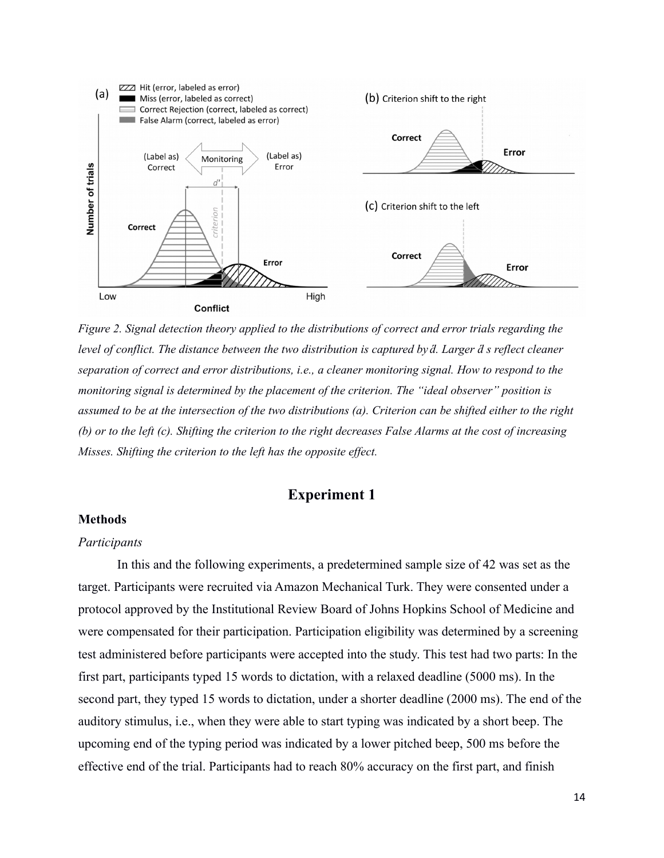

*Figure 2. Signal detection theory applied to the distributions of correct and error trials regarding the level of conflict. The distance between the two distribution is captured by d. Larger d s reflect cleaner separation of correct and error distributions, i.e., a cleaner monitoring signal. How to respond to the monitoring signal is determined by the placement of the criterion. The "ideal observer" position is assumed to be at the intersection of the two distributions (a). Criterion can be shifted either to the right (b) or to the left (c). Shifting the criterion to the right decreases False Alarms at the cost of increasing Misses. Shifting the criterion to the left has the opposite effect.* 

## **Experiment 1**

#### **Methods**

#### *Participants*

In this and the following experiments, a predetermined sample size of 42 was set as the target. Participants were recruited via Amazon Mechanical Turk. They were consented under a protocol approved by the Institutional Review Board of Johns Hopkins School of Medicine and were compensated for their participation. Participation eligibility was determined by a screening test administered before participants were accepted into the study. This test had two parts: In the first part, participants typed 15 words to dictation, with a relaxed deadline (5000 ms). In the second part, they typed 15 words to dictation, under a shorter deadline (2000 ms). The end of the auditory stimulus, i.e., when they were able to start typing was indicated by a short beep. The upcoming end of the typing period was indicated by a lower pitched beep, 500 ms before the effective end of the trial. Participants had to reach 80% accuracy on the first part, and finish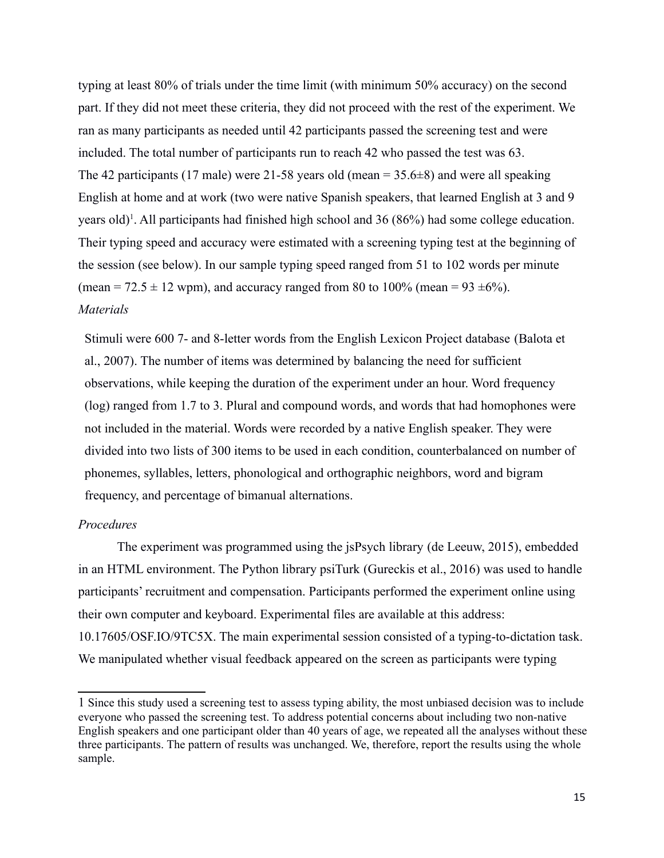typing at least 80% of trials under the time limit (with minimum 50% accuracy) on the second part. If they did not meet these criteria, they did not proceed with the rest of the experiment. We ran as many participants as needed until 42 participants passed the screening test and were included. The total number of participants run to reach 42 who passed the test was 63. The 42 participants (17 male) were 21-58 years old (mean =  $35.6\pm8$ ) and were all speaking English at home and at work (two were native Spanish speakers, that learned English at 3 and 9 years old)<sup>[1](#page-14-0)</sup>. All participants had finished high school and 36 (86%) had some college education. Their typing speed and accuracy were estimated with a screening typing test at the beginning of the session (see below). In our sample typing speed ranged from 51 to 102 words per minute (mean =  $72.5 \pm 12$  wpm), and accuracy ranged from 80 to 100% (mean =  $93 \pm 6$ %). *Materials*

Stimuli were 600 7- and 8-letter words from the English Lexicon Project database (Balota et al., 2007). The number of items was determined by balancing the need for sufficient observations, while keeping the duration of the experiment under an hour. Word frequency (log) ranged from 1.7 to 3. Plural and compound words, and words that had homophones were not included in the material. Words were recorded by a native English speaker. They were divided into two lists of 300 items to be used in each condition, counterbalanced on number of phonemes, syllables, letters, phonological and orthographic neighbors, word and bigram frequency, and percentage of bimanual alternations.

### *Procedures*

The experiment was programmed using the jsPsych library (de Leeuw, 2015), embedded in an HTML environment. The Python library psiTurk (Gureckis et al., 2016) was used to handle participants' recruitment and compensation. Participants performed the experiment online using their own computer and keyboard. Experimental files are available at this address: 10.17605/OSF.IO/9TC5X. The main experimental session consisted of a typing-to-dictation task. We manipulated whether visual feedback appeared on the screen as participants were typing

<span id="page-14-0"></span><sup>1</sup> -Since this study used a screening test to assess typing ability, the most unbiased decision was to include everyone who passed the screening test. To address potential concerns about including two non-native English speakers and one participant older than 40 years of age, we repeated all the analyses without these three participants. The pattern of results was unchanged. We, therefore, report the results using the whole sample.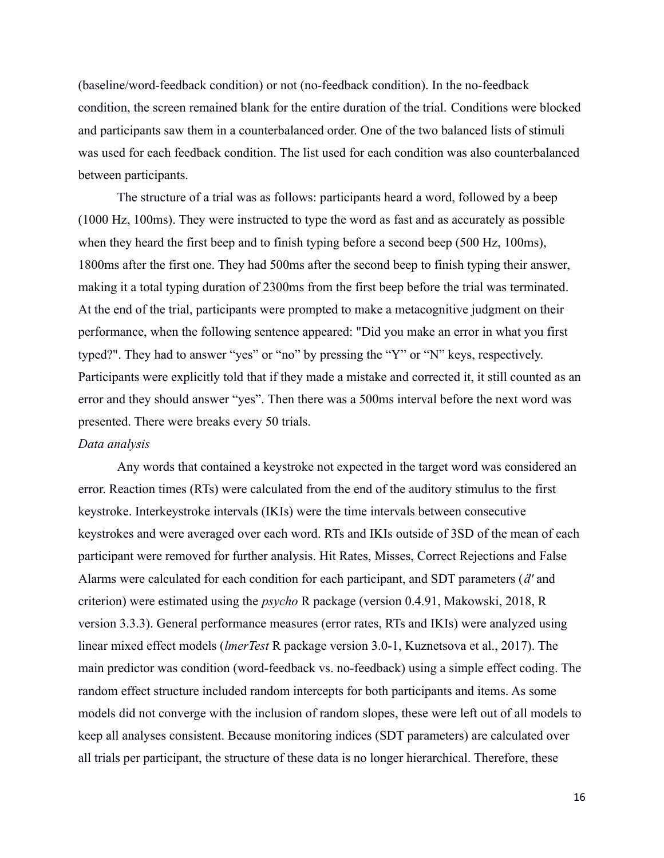(baseline/word-feedback condition) or not (no-feedback condition). In the no-feedback condition, the screen remained blank for the entire duration of the trial. Conditions were blocked and participants saw them in a counterbalanced order. One of the two balanced lists of stimuli was used for each feedback condition. The list used for each condition was also counterbalanced between participants.

The structure of a trial was as follows: participants heard a word, followed by a beep (1000 Hz, 100ms). They were instructed to type the word as fast and as accurately as possible when they heard the first beep and to finish typing before a second beep (500 Hz, 100ms), 1800ms after the first one. They had 500ms after the second beep to finish typing their answer, making it a total typing duration of 2300ms from the first beep before the trial was terminated. At the end of the trial, participants were prompted to make a metacognitive judgment on their performance, when the following sentence appeared: "Did you make an error in what you first typed?". They had to answer "yes" or "no" by pressing the "Y" or "N" keys, respectively. Participants were explicitly told that if they made a mistake and corrected it, it still counted as an error and they should answer "yes". Then there was a 500ms interval before the next word was presented. There were breaks every 50 trials.

#### *Data analysis*

Any words that contained a keystroke not expected in the target word was considered an error. Reaction times (RTs) were calculated from the end of the auditory stimulus to the first keystroke. Interkeystroke intervals (IKIs) were the time intervals between consecutive keystrokes and were averaged over each word. RTs and IKIs outside of 3SD of the mean of each participant were removed for further analysis. Hit Rates, Misses, Correct Rejections and False Alarms were calculated for each condition for each participant, and SDT parameters (*d́ '* and criterion) were estimated using the *psycho* R package (version 0.4.91, Makowski, 2018, R version 3.3.3). General performance measures (error rates, RTs and IKIs) were analyzed using linear mixed effect models (*lmerTest* R package version 3.0-1, Kuznetsova et al., 2017). The main predictor was condition (word-feedback vs. no-feedback) using a simple effect coding. The random effect structure included random intercepts for both participants and items. As some models did not converge with the inclusion of random slopes, these were left out of all models to keep all analyses consistent. Because monitoring indices (SDT parameters) are calculated over all trials per participant, the structure of these data is no longer hierarchical. Therefore, these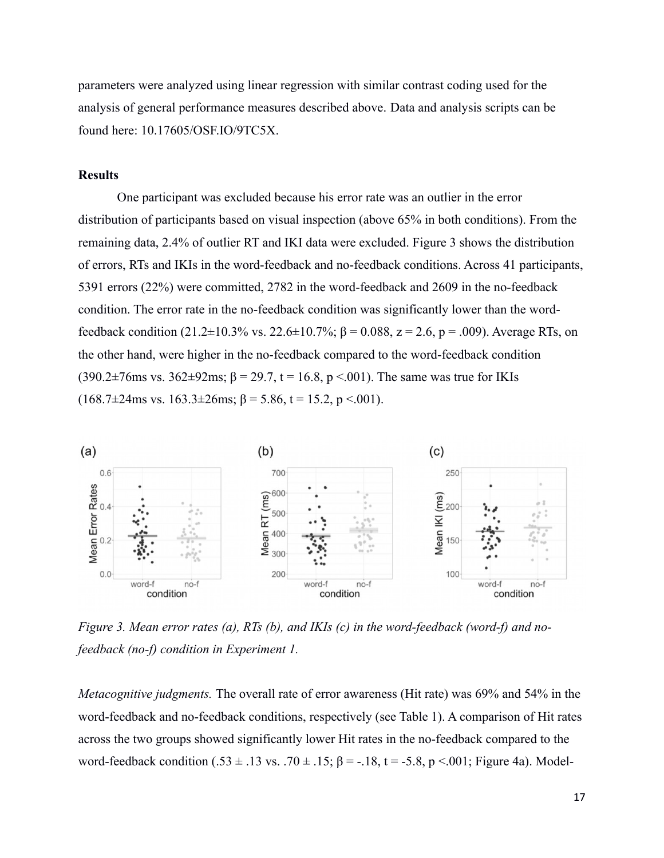parameters were analyzed using linear regression with similar contrast coding used for the analysis of general performance measures described above. Data and analysis scripts can be found here: 10.17605/OSF.IO/9TC5X.

### **Results**

One participant was excluded because his error rate was an outlier in the error distribution of participants based on visual inspection (above 65% in both conditions). From the remaining data, 2.4% of outlier RT and IKI data were excluded. Figure 3 shows the distribution of errors, RTs and IKIs in the word-feedback and no-feedback conditions. Across 41 participants, 5391 errors (22%) were committed, 2782 in the word-feedback and 2609 in the no-feedback condition. The error rate in the no-feedback condition was significantly lower than the wordfeedback condition (21.2±10.3% vs. 22.6±10.7%;  $\beta$  = 0.088, z = 2.6, p = .009). Average RTs, on the other hand, were higher in the no-feedback compared to the word-feedback condition (390.2±76ms vs. 362±92ms; β = 29.7, t = 16.8, p <.001). The same was true for IKIs (168.7 $\pm$ 24ms vs. 163.3 $\pm$ 26ms; β = 5.86, t = 15.2, p <.001).



*Figure 3. Mean error rates (a), RTs (b), and IKIs (c) in the word-feedback (word-f) and nofeedback (no-f) condition in Experiment 1.*

*Metacognitive judgments.* The overall rate of error awareness (Hit rate) was 69% and 54% in the word-feedback and no-feedback conditions, respectively (see Table 1). A comparison of Hit rates across the two groups showed significantly lower Hit rates in the no-feedback compared to the word-feedback condition (.53  $\pm$  .13 vs. .70  $\pm$  .15;  $\beta$  = -.18, t = -5.8, p <.001; Figure 4a). Model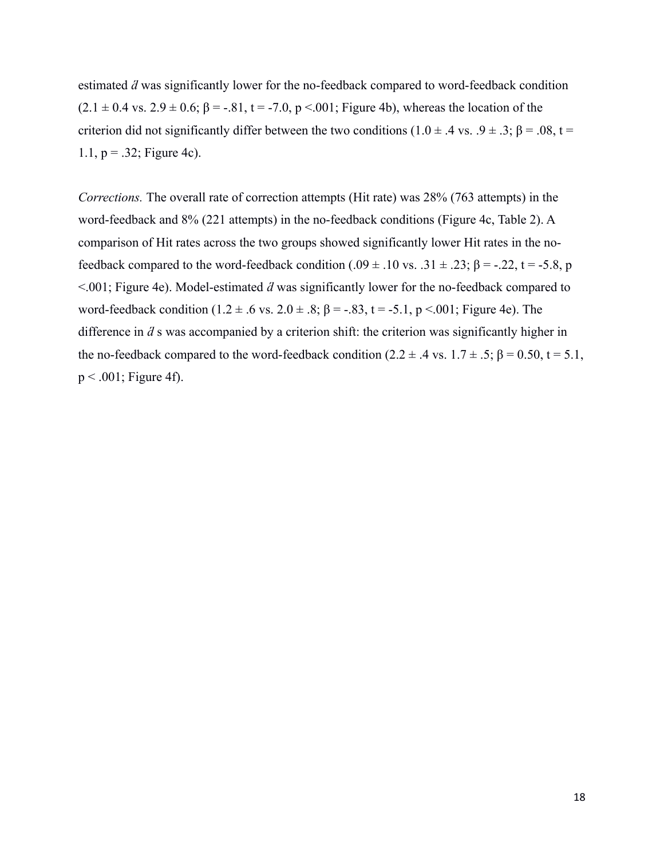estimated *d́* was significantly lower for the no-feedback compared to word-feedback condition  $(2.1 \pm 0.4 \text{ vs. } 2.9 \pm 0.6; \beta = -.81, t = -7.0, p < .001$ ; Figure 4b), whereas the location of the criterion did not significantly differ between the two conditions  $(1.0 \pm .4 \text{ vs. } 9 \pm .3; \beta = .08, t =$ 1.1,  $p = 0.32$ ; Figure 4c).

*Corrections.* The overall rate of correction attempts (Hit rate) was 28% (763 attempts) in the word-feedback and 8% (221 attempts) in the no-feedback conditions (Figure 4c, Table 2). A comparison of Hit rates across the two groups showed significantly lower Hit rates in the nofeedback compared to the word-feedback condition (.09  $\pm$  .10 vs. .31  $\pm$  .23;  $\beta$  = -.22, t = -5.8, p <.001; Figure 4e). Model-estimated *d́* was significantly lower for the no-feedback compared to word-feedback condition  $(1.2 \pm .6 \text{ vs. } 2.0 \pm .8; \beta = -.83, t = -5.1, p < .001; \text{ Figure 4e})$ . The difference in *d́* s was accompanied by a criterion shift: the criterion was significantly higher in the no-feedback compared to the word-feedback condition ( $2.2 \pm .4$  vs.  $1.7 \pm .5$ ;  $\beta = 0.50$ ,  $t = 5.1$ ,  $p < .001$ ; Figure 4f).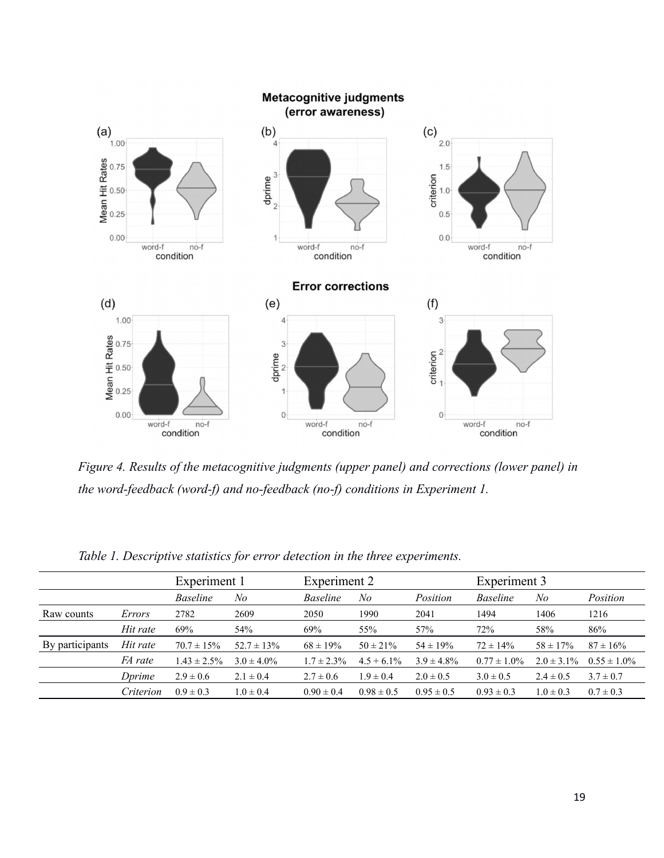

*Figure 4. Results of the metacognitive judgments (upper panel) and corrections (lower panel) in the word-feedback (word-f) and no-feedback (no-f) conditions in Experiment 1.*

|                 |           | Experiment 1     |                 | Experiment 2    |                |                 | Experiment 3     |                 |                  |
|-----------------|-----------|------------------|-----------------|-----------------|----------------|-----------------|------------------|-----------------|------------------|
|                 |           | <b>Baseline</b>  | No              | <i>Baseline</i> | No             | Position        | <b>Baseline</b>  | No              | Position         |
| Raw counts      | Errors    | 2782             | 2609            | 2050            | 1990           | 2041            | 1494             | 1406            | 1216             |
|                 | Hit rate  | 69%              | 54%             | 69%             | 55%            | 57%             | 72%              | 58%             | 86%              |
| By participants | Hit rate  | $70.7 \pm 15\%$  | $52.7 \pm 13\%$ | $68 \pm 19\%$   | $50 \pm 21\%$  | $54 \pm 19\%$   | $72 \pm 14\%$    | $58 \pm 17\%$   | $87 \pm 16\%$    |
|                 | FA rate   | $1.43 \pm 2.5\%$ | $3.0 \pm 4.0\%$ | $1.7 \pm 2.3\%$ | $4.5 + 6.1\%$  | $3.9 \pm 4.8\%$ | $0.77 \pm 1.0\%$ | $2.0 \pm 3.1\%$ | $0.55 \pm 1.0\%$ |
|                 | Dprime    | $2.9 \pm 0.6$    | $2.1 \pm 0.4$   | $2.7 \pm 0.6$   | $1.9 \pm 0.4$  | $2.0 \pm 0.5$   | $3.0 \pm 0.5$    | $2.4 \pm 0.5$   | $3.7 \pm 0.7$    |
|                 | Criterion | $0.9 \pm 0.3$    | $1.0 \pm 0.4$   | $0.90 \pm 0.4$  | $0.98 \pm 0.5$ | $0.95 \pm 0.5$  | $0.93 \pm 0.3$   | $1.0 \pm 0.3$   | $0.7 \pm 0.3$    |

*Table 1. Descriptive statistics for error detection in the three experiments.*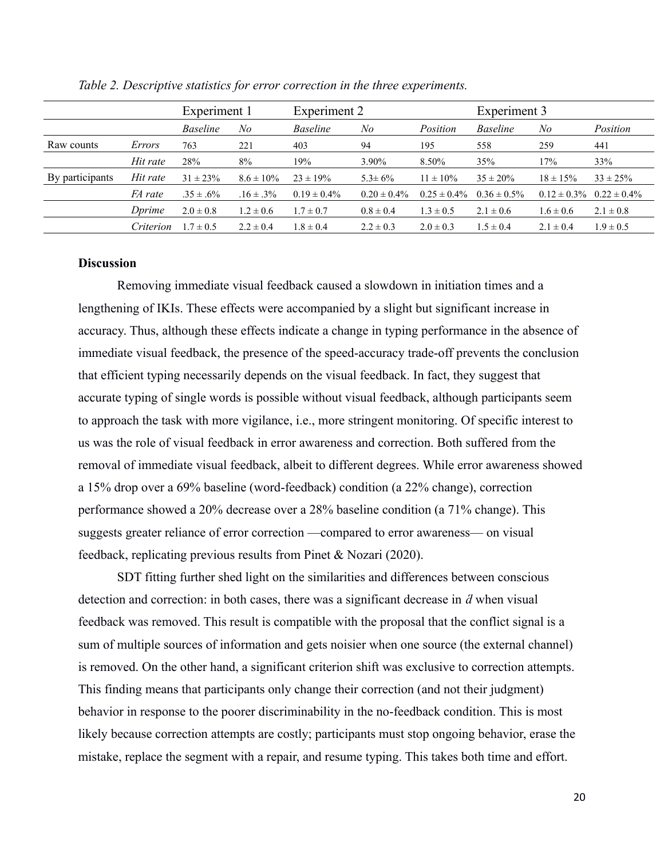|                 |           | Experiment 1    |                | Experiment 2     |                  |                  | Experiment 3     |                  |                  |
|-----------------|-----------|-----------------|----------------|------------------|------------------|------------------|------------------|------------------|------------------|
|                 |           | <b>Baseline</b> | No             | <i>Baseline</i>  | No               | Position         | <i>Baseline</i>  | No               | Position         |
| Raw counts      | Errors    | 763             | 221            | 403              | 94               | 195              | 558              | 259              | 441              |
|                 | Hit rate  | 28%             | 8%             | 19%              | 3.90%            | 8.50%            | 35%              | 17%              | 33%              |
| By participants | Hit rate  | $31 \pm 23\%$   | $8.6 \pm 10\%$ | $23 \pm 19\%$    | $5.3 \pm 6\%$    | $11 \pm 10\%$    | $35 \pm 20\%$    | $18 \pm 15\%$    | $33 \pm 25\%$    |
|                 | FA rate   | $.35 \pm .6\%$  | $.16 \pm .3\%$ | $0.19 \pm 0.4\%$ | $0.20 \pm 0.4\%$ | $0.25 \pm 0.4\%$ | $0.36 \pm 0.5\%$ | $0.12 \pm 0.3\%$ | $0.22 \pm 0.4\%$ |
|                 | Dorime    | $2.0 \pm 0.8$   | $1.2 \pm 0.6$  | $1.7 \pm 0.7$    | $0.8 \pm 0.4$    | $1.3 \pm 0.5$    | $2.1 \pm 0.6$    | $1.6 \pm 0.6$    | $2.1 \pm 0.8$    |
|                 | Criterion | $1.7 \pm 0.5$   | $2.2 \pm 0.4$  | $1.8 \pm 0.4$    | $2.2 \pm 0.3$    | $2.0 \pm 0.3$    | $1.5 \pm 0.4$    | $2.1 \pm 0.4$    | $1.9 \pm 0.5$    |

*Table 2. Descriptive statistics for error correction in the three experiments.*

### **Discussion**

Removing immediate visual feedback caused a slowdown in initiation times and a lengthening of IKIs. These effects were accompanied by a slight but significant increase in accuracy. Thus, although these effects indicate a change in typing performance in the absence of immediate visual feedback, the presence of the speed-accuracy trade-off prevents the conclusion that efficient typing necessarily depends on the visual feedback. In fact, they suggest that accurate typing of single words is possible without visual feedback, although participants seem to approach the task with more vigilance, i.e., more stringent monitoring. Of specific interest to us was the role of visual feedback in error awareness and correction. Both suffered from the removal of immediate visual feedback, albeit to different degrees. While error awareness showed a 15% drop over a 69% baseline (word-feedback) condition (a 22% change), correction performance showed a 20% decrease over a 28% baseline condition (a 71% change). This suggests greater reliance of error correction —compared to error awareness— on visual feedback, replicating previous results from Pinet & Nozari (2020).

SDT fitting further shed light on the similarities and differences between conscious detection and correction: in both cases, there was a significant decrease in *d́* when visual feedback was removed. This result is compatible with the proposal that the conflict signal is a sum of multiple sources of information and gets noisier when one source (the external channel) is removed. On the other hand, a significant criterion shift was exclusive to correction attempts. This finding means that participants only change their correction (and not their judgment) behavior in response to the poorer discriminability in the no-feedback condition. This is most likely because correction attempts are costly; participants must stop ongoing behavior, erase the mistake, replace the segment with a repair, and resume typing. This takes both time and effort.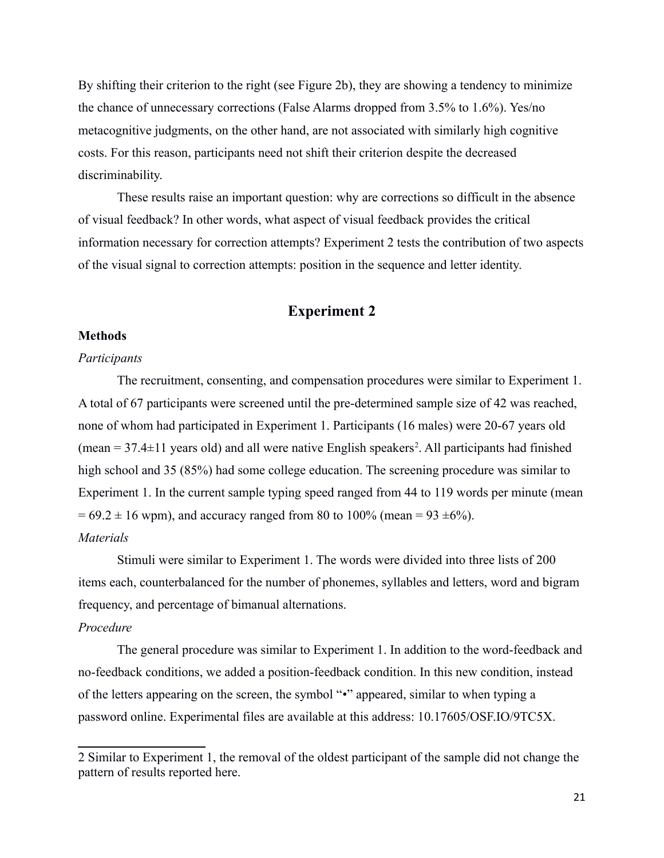By shifting their criterion to the right (see Figure 2b), they are showing a tendency to minimize the chance of unnecessary corrections (False Alarms dropped from 3.5% to 1.6%). Yes/no metacognitive judgments, on the other hand, are not associated with similarly high cognitive costs. For this reason, participants need not shift their criterion despite the decreased discriminability.

These results raise an important question: why are corrections so difficult in the absence of visual feedback? In other words, what aspect of visual feedback provides the critical information necessary for correction attempts? Experiment 2 tests the contribution of two aspects of the visual signal to correction attempts: position in the sequence and letter identity.

## **Experiment 2**

#### **Methods**

#### *Participants*

The recruitment, consenting, and compensation procedures were similar to Experiment 1. A total of 67 participants were screened until the pre-determined sample size of 42 was reached, none of whom had participated in Experiment 1. Participants (16 males) were 20-67 years old  $(\text{mean} = 37.4 \pm 11 \text{ years old})$  and all were native English speakers<sup>[2](#page-20-0)</sup>. All participants had finished high school and 35 (85%) had some college education. The screening procedure was similar to Experiment 1. In the current sample typing speed ranged from 44 to 119 words per minute (mean  $= 69.2 \pm 16$  wpm), and accuracy ranged from 80 to 100% (mean = 93  $\pm 6$ %).

## *Materials*

Stimuli were similar to Experiment 1. The words were divided into three lists of 200 items each, counterbalanced for the number of phonemes, syllables and letters, word and bigram frequency, and percentage of bimanual alternations.

## *Procedure*

The general procedure was similar to Experiment 1. In addition to the word-feedback and no-feedback conditions, we added a position-feedback condition. In this new condition, instead of the letters appearing on the screen, the symbol "•" appeared, similar to when typing a password online. Experimental files are available at this address: 10.17605/OSF.IO/9TC5X.

<span id="page-20-0"></span><sup>2</sup> - Similar to Experiment 1, the removal of the oldest participant of the sample did not change the pattern of results reported here.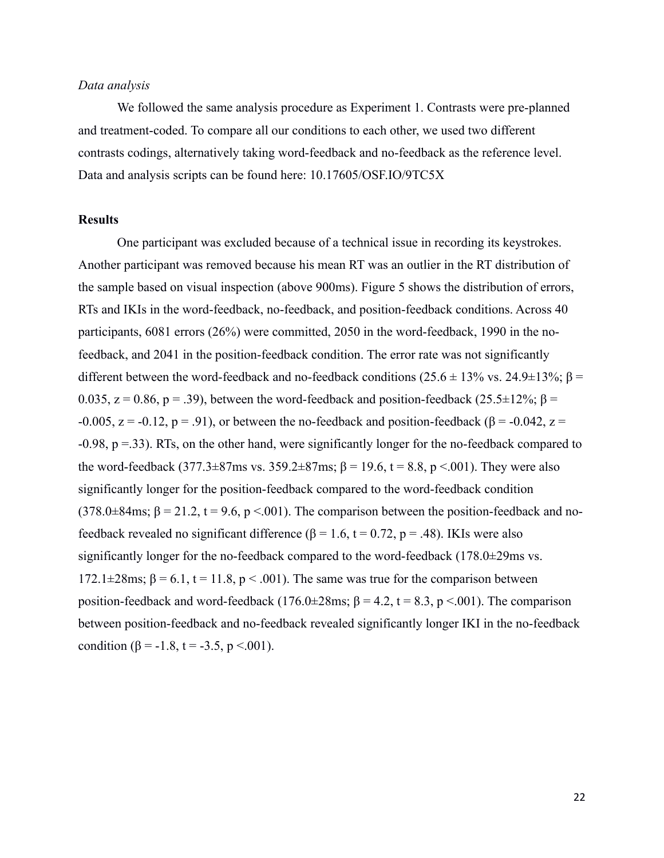#### *Data analysis*

We followed the same analysis procedure as Experiment 1. Contrasts were pre-planned and treatment-coded. To compare all our conditions to each other, we used two different contrasts codings, alternatively taking word-feedback and no-feedback as the reference level. Data and analysis scripts can be found here: 10.17605/OSF.IO/9TC5X

#### **Results**

One participant was excluded because of a technical issue in recording its keystrokes. Another participant was removed because his mean RT was an outlier in the RT distribution of the sample based on visual inspection (above 900ms). Figure 5 shows the distribution of errors, RTs and IKIs in the word-feedback, no-feedback, and position-feedback conditions. Across 40 participants, 6081 errors (26%) were committed, 2050 in the word-feedback, 1990 in the nofeedback, and 2041 in the position-feedback condition. The error rate was not significantly different between the word-feedback and no-feedback conditions ( $25.6 \pm 13\%$  vs.  $24.9 \pm 13\%$ ;  $\beta$  = 0.035,  $z = 0.86$ ,  $p = .39$ ), between the word-feedback and position-feedback (25.5±12%;  $\beta =$  $-0.005$ ,  $z = -0.12$ ,  $p = .91$ ), or between the no-feedback and position-feedback ( $\beta = -0.042$ ,  $z =$ -0.98, p =.33). RTs, on the other hand, were significantly longer for the no-feedback compared to the word-feedback (377.3±87ms vs. 359.2±87ms;  $\beta$  = 19.6, t = 8.8, p <.001). They were also significantly longer for the position-feedback compared to the word-feedback condition (378.0 $\pm$ 84ms; β = 21.2, t = 9.6, p <.001). The comparison between the position-feedback and nofeedback revealed no significant difference ( $\beta$  = 1.6, t = 0.72, p = .48). IKIs were also significantly longer for the no-feedback compared to the word-feedback (178.0±29ms vs. 172.1 $\pm$ 28ms;  $\beta$  = 6.1, t = 11.8, p < .001). The same was true for the comparison between position-feedback and word-feedback (176.0±28ms; β = 4.2, t = 8.3, p <.001). The comparison between position-feedback and no-feedback revealed significantly longer IKI in the no-feedback condition ( $\beta$  = -1.8, t = -3.5, p <.001).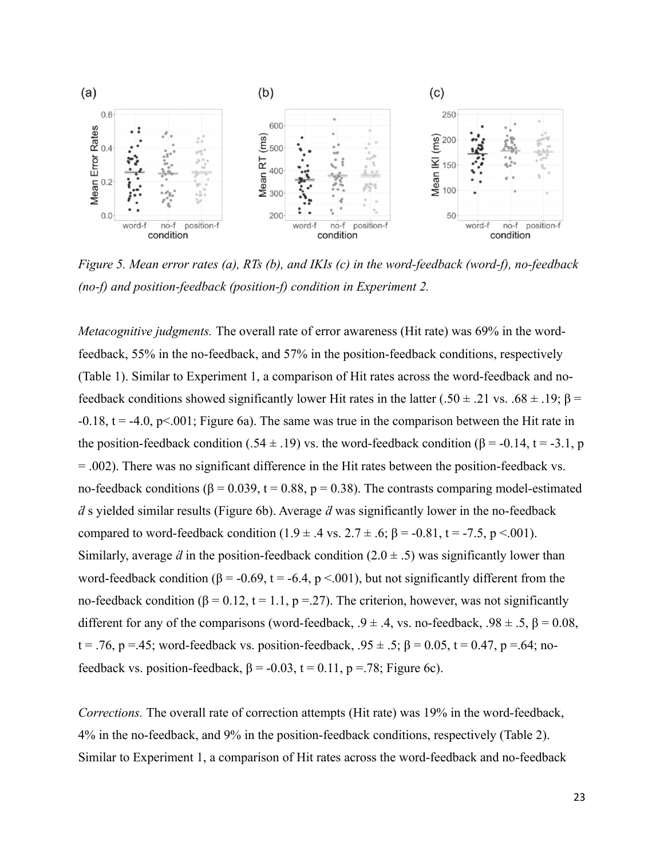

*Figure 5. Mean error rates (a), RTs (b), and IKIs (c) in the word-feedback (word-f), no-feedback (no-f) and position-feedback (position-f) condition in Experiment 2.*

*Metacognitive judgments.* The overall rate of error awareness (Hit rate) was 69% in the wordfeedback, 55% in the no-feedback, and 57% in the position-feedback conditions, respectively (Table 1). Similar to Experiment 1, a comparison of Hit rates across the word-feedback and nofeedback conditions showed significantly lower Hit rates in the latter (.50  $\pm$  .21 vs. .68  $\pm$  .19;  $\beta$  =  $-0.18$ , t =  $-4.0$ , p<.001; Figure 6a). The same was true in the comparison between the Hit rate in the position-feedback condition (.54  $\pm$  .19) vs. the word-feedback condition ( $\beta$  = -0.14, t = -3.1, p = .002). There was no significant difference in the Hit rates between the position-feedback vs. no-feedback conditions (β = 0.039, t = 0.88, p = 0.38). The contrasts comparing model-estimated *d́* s yielded similar results (Figure 6b). Average *d́* was significantly lower in the no-feedback compared to word-feedback condition  $(1.9 \pm .4 \text{ vs. } 2.7 \pm .6; \beta = -0.81, t = -7.5, p < .001)$ . Similarly, average *d* in the position-feedback condition  $(2.0 \pm .5)$  was significantly lower than word-feedback condition ( $\beta$  = -0.69, t = -6.4, p <.001), but not significantly different from the no-feedback condition ( $\beta$  = 0.12, t = 1.1, p = 27). The criterion, however, was not significantly different for any of the comparisons (word-feedback,  $.9 \pm .4$ , vs. no-feedback,  $.98 \pm .5$ ,  $\beta = 0.08$ , t = .76, p = .45; word-feedback vs. position-feedback,  $.95 \pm .5$ ;  $\beta = 0.05$ , t = 0.47, p = .64; nofeedback vs. position-feedback,  $\beta$  = -0.03, t = 0.11, p = .78; Figure 6c).

*Corrections.* The overall rate of correction attempts (Hit rate) was 19% in the word-feedback, 4% in the no-feedback, and 9% in the position-feedback conditions, respectively (Table 2). Similar to Experiment 1, a comparison of Hit rates across the word-feedback and no-feedback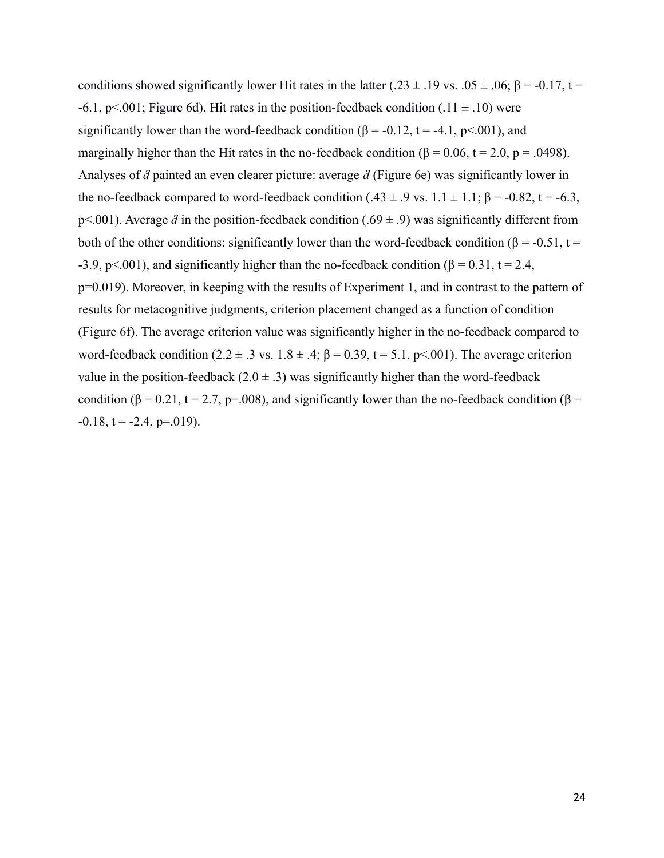conditions showed significantly lower Hit rates in the latter (.23  $\pm$  .19 vs. .05  $\pm$  .06;  $\beta$  = -0.17, t = -6.1, p < 0.01; Figure 6d). Hit rates in the position-feedback condition (.11  $\pm$  .10) were significantly lower than the word-feedback condition ( $\beta$  = -0.12, t = -4.1, p<.001), and marginally higher than the Hit rates in the no-feedback condition ( $\beta$  = 0.06, t = 2.0, p = .0498). Analyses of *d́* painted an even clearer picture: average *d́* (Figure 6e) was significantly lower in the no-feedback compared to word-feedback condition (.43  $\pm$  .9 vs. 1.1  $\pm$  1.1; β = -0.82, t = -6.3, p<.001). Average  $d$  in the position-feedback condition (.69  $\pm$  .9) was significantly different from both of the other conditions: significantly lower than the word-feedback condition ( $\beta$  = -0.51, t = -3.9, p <.001), and significantly higher than the no-feedback condition ( $\beta$  = 0.31, t = 2.4, p=0.019). Moreover, in keeping with the results of Experiment 1, and in contrast to the pattern of results for metacognitive judgments, criterion placement changed as a function of condition (Figure 6f). The average criterion value was significantly higher in the no-feedback compared to word-feedback condition  $(2.2 \pm .3 \text{ vs. } 1.8 \pm .4; \beta = 0.39, t = 5.1, p < .001)$ . The average criterion value in the position-feedback  $(2.0 \pm .3)$  was significantly higher than the word-feedback condition ( $\beta$  = 0.21, t = 2.7, p=.008), and significantly lower than the no-feedback condition ( $\beta$  =  $-0.18$ ,  $t = -2.4$ ,  $p = 0.019$ ).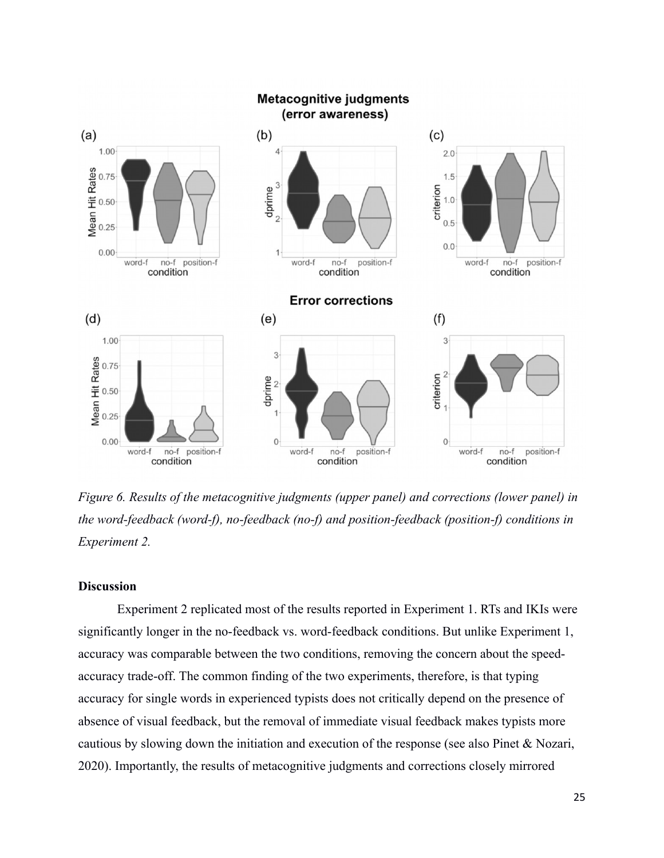

*Figure 6. Results of the metacognitive judgments (upper panel) and corrections (lower panel) in the word-feedback (word-f), no-feedback (no-f) and position-feedback (position-f) conditions in Experiment 2.*

## **Discussion**

Experiment 2 replicated most of the results reported in Experiment 1. RTs and IKIs were significantly longer in the no-feedback vs. word-feedback conditions. But unlike Experiment 1, accuracy was comparable between the two conditions, removing the concern about the speedaccuracy trade-off. The common finding of the two experiments, therefore, is that typing accuracy for single words in experienced typists does not critically depend on the presence of absence of visual feedback, but the removal of immediate visual feedback makes typists more cautious by slowing down the initiation and execution of the response (see also Pinet & Nozari, 2020). Importantly, the results of metacognitive judgments and corrections closely mirrored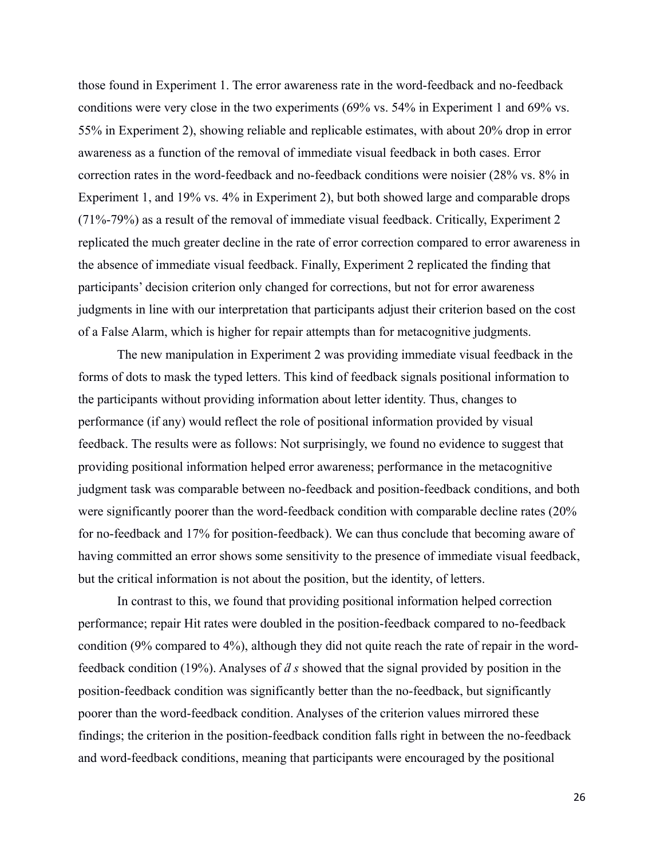those found in Experiment 1. The error awareness rate in the word-feedback and no-feedback conditions were very close in the two experiments (69% vs. 54% in Experiment 1 and 69% vs. 55% in Experiment 2), showing reliable and replicable estimates, with about 20% drop in error awareness as a function of the removal of immediate visual feedback in both cases. Error correction rates in the word-feedback and no-feedback conditions were noisier (28% vs. 8% in Experiment 1, and 19% vs. 4% in Experiment 2), but both showed large and comparable drops (71%-79%) as a result of the removal of immediate visual feedback. Critically, Experiment 2 replicated the much greater decline in the rate of error correction compared to error awareness in the absence of immediate visual feedback. Finally, Experiment 2 replicated the finding that participants' decision criterion only changed for corrections, but not for error awareness judgments in line with our interpretation that participants adjust their criterion based on the cost of a False Alarm, which is higher for repair attempts than for metacognitive judgments.

The new manipulation in Experiment 2 was providing immediate visual feedback in the forms of dots to mask the typed letters. This kind of feedback signals positional information to the participants without providing information about letter identity. Thus, changes to performance (if any) would reflect the role of positional information provided by visual feedback. The results were as follows: Not surprisingly, we found no evidence to suggest that providing positional information helped error awareness; performance in the metacognitive judgment task was comparable between no-feedback and position-feedback conditions, and both were significantly poorer than the word-feedback condition with comparable decline rates (20% for no-feedback and 17% for position-feedback). We can thus conclude that becoming aware of having committed an error shows some sensitivity to the presence of immediate visual feedback, but the critical information is not about the position, but the identity, of letters.

In contrast to this, we found that providing positional information helped correction performance; repair Hit rates were doubled in the position-feedback compared to no-feedback condition (9% compared to 4%), although they did not quite reach the rate of repair in the wordfeedback condition (19%). Analyses of *d́ s* showed that the signal provided by position in the position-feedback condition was significantly better than the no-feedback, but significantly poorer than the word-feedback condition. Analyses of the criterion values mirrored these findings; the criterion in the position-feedback condition falls right in between the no-feedback and word-feedback conditions, meaning that participants were encouraged by the positional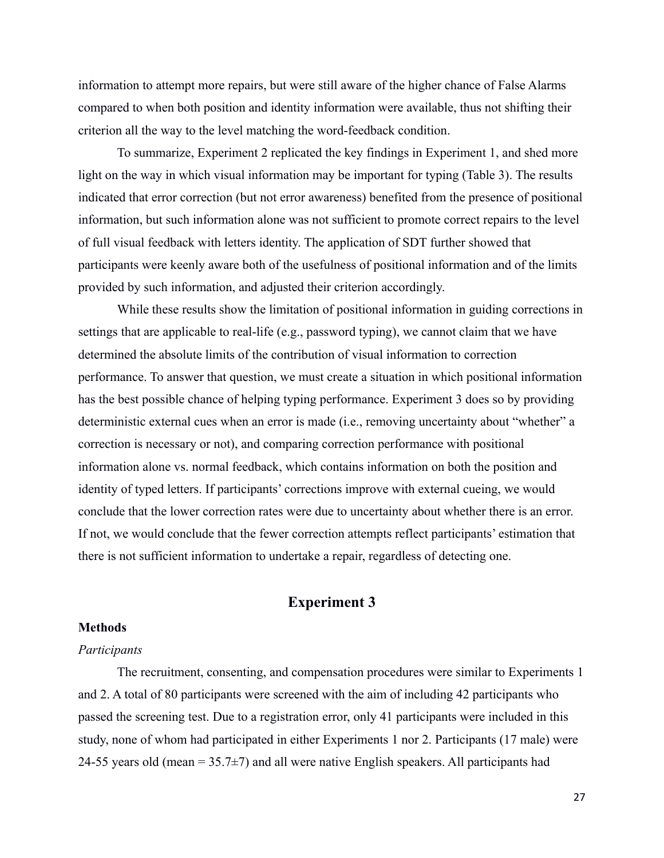information to attempt more repairs, but were still aware of the higher chance of False Alarms compared to when both position and identity information were available, thus not shifting their criterion all the way to the level matching the word-feedback condition.

To summarize, Experiment 2 replicated the key findings in Experiment 1, and shed more light on the way in which visual information may be important for typing (Table 3). The results indicated that error correction (but not error awareness) benefited from the presence of positional information, but such information alone was not sufficient to promote correct repairs to the level of full visual feedback with letters identity. The application of SDT further showed that participants were keenly aware both of the usefulness of positional information and of the limits provided by such information, and adjusted their criterion accordingly.

While these results show the limitation of positional information in guiding corrections in settings that are applicable to real-life (e.g., password typing), we cannot claim that we have determined the absolute limits of the contribution of visual information to correction performance. To answer that question, we must create a situation in which positional information has the best possible chance of helping typing performance. Experiment 3 does so by providing deterministic external cues when an error is made (i.e., removing uncertainty about "whether" a correction is necessary or not), and comparing correction performance with positional information alone vs. normal feedback, which contains information on both the position and identity of typed letters. If participants' corrections improve with external cueing, we would conclude that the lower correction rates were due to uncertainty about whether there is an error. If not, we would conclude that the fewer correction attempts reflect participants' estimation that there is not sufficient information to undertake a repair, regardless of detecting one.

## **Experiment 3**

### **Methods**

### *Participants*

The recruitment, consenting, and compensation procedures were similar to Experiments 1 and 2. A total of 80 participants were screened with the aim of including 42 participants who passed the screening test. Due to a registration error, only 41 participants were included in this study, none of whom had participated in either Experiments 1 nor 2. Participants (17 male) were 24-55 years old (mean =  $35.7\pm7$ ) and all were native English speakers. All participants had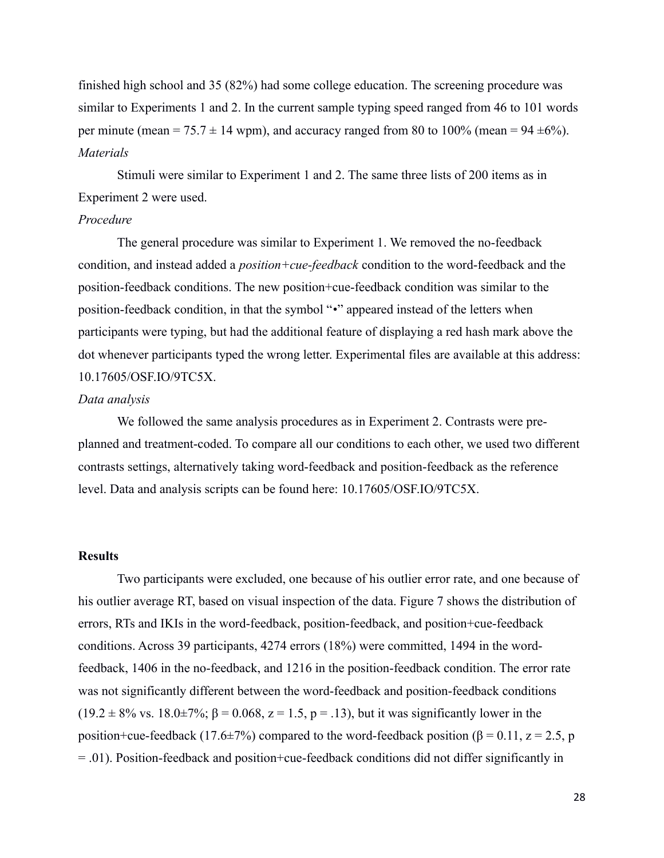finished high school and 35 (82%) had some college education. The screening procedure was similar to Experiments 1 and 2. In the current sample typing speed ranged from 46 to 101 words per minute (mean =  $75.7 \pm 14$  wpm), and accuracy ranged from 80 to 100% (mean =  $94 \pm 6$ %). *Materials*

Stimuli were similar to Experiment 1 and 2. The same three lists of 200 items as in Experiment 2 were used.

#### *Procedure*

The general procedure was similar to Experiment 1. We removed the no-feedback condition, and instead added a *position+cue-feedback* condition to the word-feedback and the position-feedback conditions. The new position+cue-feedback condition was similar to the position-feedback condition, in that the symbol "•" appeared instead of the letters when participants were typing, but had the additional feature of displaying a red hash mark above the dot whenever participants typed the wrong letter. Experimental files are available at this address: 10.17605/OSF.IO/9TC5X.

### *Data analysis*

We followed the same analysis procedures as in Experiment 2. Contrasts were preplanned and treatment-coded. To compare all our conditions to each other, we used two different contrasts settings, alternatively taking word-feedback and position-feedback as the reference level. Data and analysis scripts can be found here: 10.17605/OSF.IO/9TC5X.

## **Results**

Two participants were excluded, one because of his outlier error rate, and one because of his outlier average RT, based on visual inspection of the data. Figure 7 shows the distribution of errors, RTs and IKIs in the word-feedback, position-feedback, and position+cue-feedback conditions. Across 39 participants, 4274 errors (18%) were committed, 1494 in the wordfeedback, 1406 in the no-feedback, and 1216 in the position-feedback condition. The error rate was not significantly different between the word-feedback and position-feedback conditions  $(19.2 \pm 8\% \text{ vs. } 18.0 \pm 7\%; \beta = 0.068, z = 1.5, p = .13)$ , but it was significantly lower in the position+cue-feedback (17.6±7%) compared to the word-feedback position (β = 0.11, z = 2.5, p = .01). Position-feedback and position+cue-feedback conditions did not differ significantly in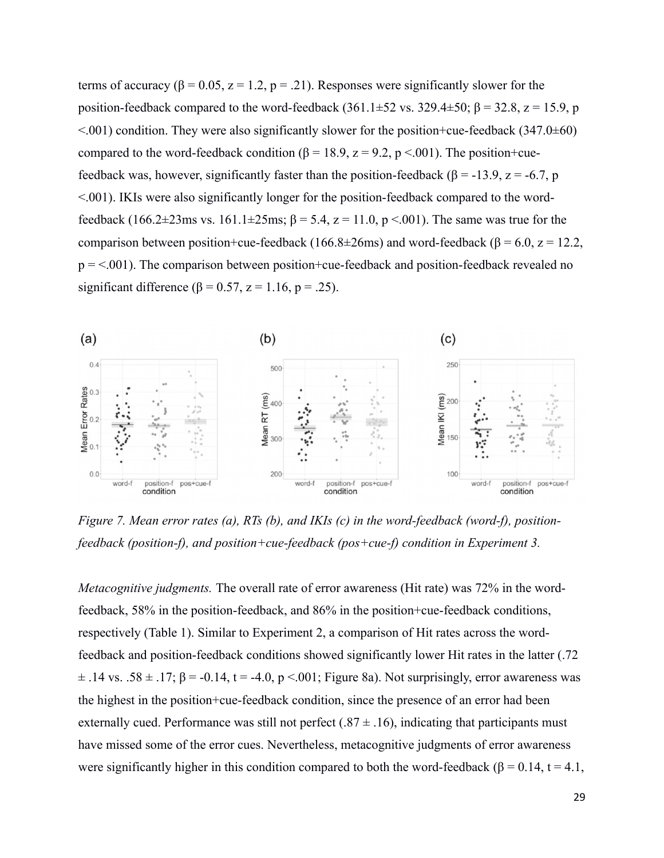terms of accuracy ( $\beta$  = 0.05, z = 1.2, p = .21). Responses were significantly slower for the position-feedback compared to the word-feedback (361.1 $\pm$ 52 vs. 329.4 $\pm$ 50; β = 32.8, z = 15.9, p  $\leq$ .001) condition. They were also significantly slower for the position+cue-feedback (347.0 $\pm$ 60) compared to the word-feedback condition (β = 18.9, z = 9.2, p < 001). The position+cuefeedback was, however, significantly faster than the position-feedback ( $\beta$  = -13.9, z = -6.7, p <.001). IKIs were also significantly longer for the position-feedback compared to the wordfeedback (166.2±23ms vs. 161.1±25ms;  $\beta = 5.4$ ,  $z = 11.0$ ,  $p < .001$ ). The same was true for the comparison between position+cue-feedback (166.8±26ms) and word-feedback (β = 6.0, z = 12.2,  $p = 5001$ . The comparison between position+cue-feedback and position-feedback revealed no significant difference ( $\beta$  = 0.57, z = 1.16, p = .25).



*Figure 7. Mean error rates (a), RTs (b), and IKIs (c) in the word-feedback (word-f), positionfeedback (position-f), and position+cue-feedback (pos+cue-f) condition in Experiment 3.*

*Metacognitive judgments.* The overall rate of error awareness (Hit rate) was 72% in the wordfeedback, 58% in the position-feedback, and 86% in the position+cue-feedback conditions, respectively (Table 1). Similar to Experiment 2, a comparison of Hit rates across the wordfeedback and position-feedback conditions showed significantly lower Hit rates in the latter (.72  $\pm$  .14 vs. .58  $\pm$  .17;  $\beta$  = -0.14, t = -4.0, p < 001; Figure 8a). Not surprisingly, error awareness was the highest in the position+cue-feedback condition, since the presence of an error had been externally cued. Performance was still not perfect (.87  $\pm$  .16), indicating that participants must have missed some of the error cues. Nevertheless, metacognitive judgments of error awareness were significantly higher in this condition compared to both the word-feedback ( $\beta$  = 0.14, t = 4.1,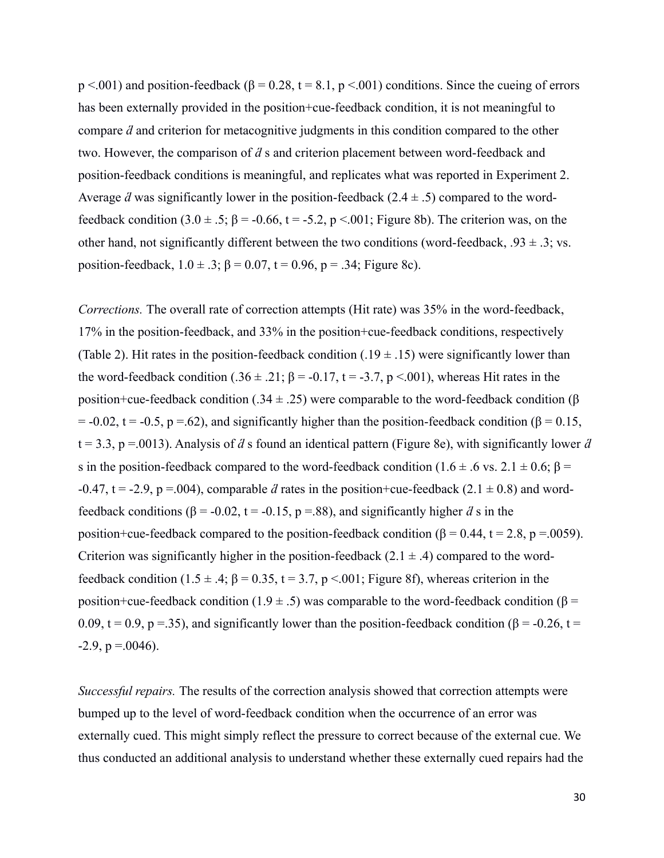$p < .001$ ) and position-feedback ( $\beta = 0.28$ ,  $t = 8.1$ ,  $p < .001$ ) conditions. Since the cueing of errors has been externally provided in the position+cue-feedback condition, it is not meaningful to compare *d́* and criterion for metacognitive judgments in this condition compared to the other two. However, the comparison of *d́* s and criterion placement between word-feedback and position-feedback conditions is meaningful, and replicates what was reported in Experiment 2. Average *d́* was significantly lower in the position-feedback (2.4 ± .5) compared to the wordfeedback condition  $(3.0 \pm .5; \beta = -0.66, t = -5.2, p < .001;$  Figure 8b). The criterion was, on the other hand, not significantly different between the two conditions (word-feedback,  $.93 \pm .3$ ; vs. position-feedback,  $1.0 \pm .3$ ;  $\beta = 0.07$ ,  $t = 0.96$ ,  $p = .34$ ; Figure 8c).

*Corrections.* The overall rate of correction attempts (Hit rate) was 35% in the word-feedback, 17% in the position-feedback, and 33% in the position+cue-feedback conditions, respectively (Table 2). Hit rates in the position-feedback condition (.19  $\pm$  .15) were significantly lower than the word-feedback condition (.36  $\pm$  .21;  $\beta$  = -0.17, t = -3.7, p <.001), whereas Hit rates in the position+cue-feedback condition (.34  $\pm$  .25) were comparable to the word-feedback condition ( $\beta$  $= -0.02$ , t = -0.5, p =.62), and significantly higher than the position-feedback condition ( $\beta = 0.15$ , t = 3.3, p =.0013). Analysis of *d́* s found an identical pattern (Figure 8e), with significantly lower *d́* s in the position-feedback compared to the word-feedback condition (1.6  $\pm$  .6 vs. 2.1  $\pm$  0.6;  $\beta$  =  $-0.47$ , t =  $-2.9$ , p =  $.004$ ), comparable *d* rates in the position+cue-feedback (2.1  $\pm$  0.8) and wordfeedback conditions ( $\beta$  = -0.02, t = -0.15, p =.88), and significantly higher *d* s in the position+cue-feedback compared to the position-feedback condition ( $\beta$  = 0.44, t = 2.8, p = 0.059). Criterion was significantly higher in the position-feedback  $(2.1 \pm .4)$  compared to the wordfeedback condition (1.5  $\pm$  .4;  $\beta$  = 0.35, t = 3.7, p <.001; Figure 8f), whereas criterion in the position+cue-feedback condition (1.9  $\pm$  .5) was comparable to the word-feedback condition (β = 0.09, t = 0.9, p = 35), and significantly lower than the position-feedback condition ( $\beta$  = -0.26, t =  $-2.9$ , p = 0046).

*Successful repairs.* The results of the correction analysis showed that correction attempts were bumped up to the level of word-feedback condition when the occurrence of an error was externally cued. This might simply reflect the pressure to correct because of the external cue. We thus conducted an additional analysis to understand whether these externally cued repairs had the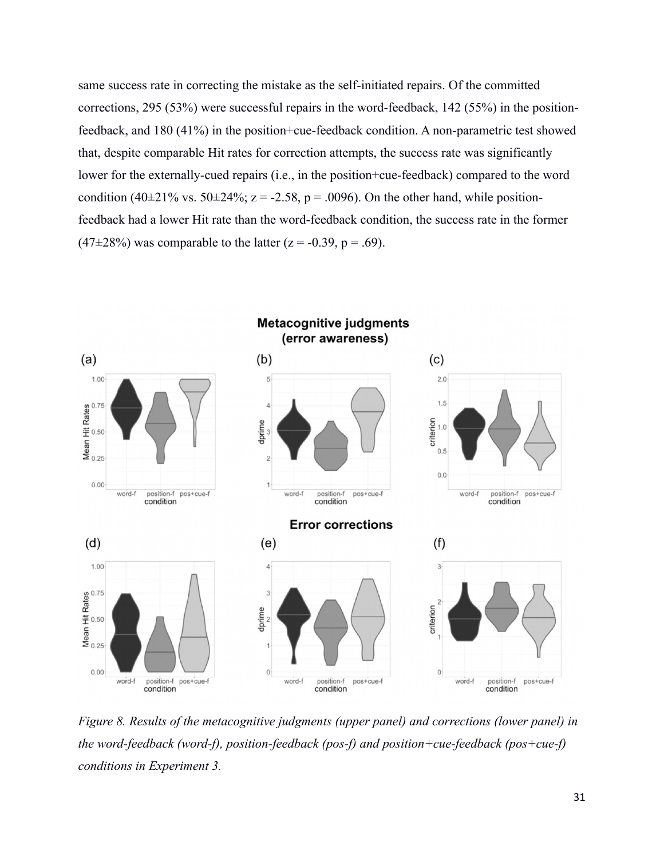same success rate in correcting the mistake as the self-initiated repairs. Of the committed corrections, 295 (53%) were successful repairs in the word-feedback, 142 (55%) in the positionfeedback, and 180 (41%) in the position+cue-feedback condition. A non-parametric test showed that, despite comparable Hit rates for correction attempts, the success rate was significantly lower for the externally-cued repairs (i.e., in the position+cue-feedback) compared to the word condition (40 $\pm$ 21% vs. 50 $\pm$ 24%; z = -2.58, p = .0096). On the other hand, while positionfeedback had a lower Hit rate than the word-feedback condition, the success rate in the former  $(47\pm28\%)$  was comparable to the latter  $(z = -0.39, p = .69)$ .



*Figure 8. Results of the metacognitive judgments (upper panel) and corrections (lower panel) in the word-feedback (word-f), position-feedback (pos-f) and position+cue-feedback (pos+cue-f) conditions in Experiment 3.*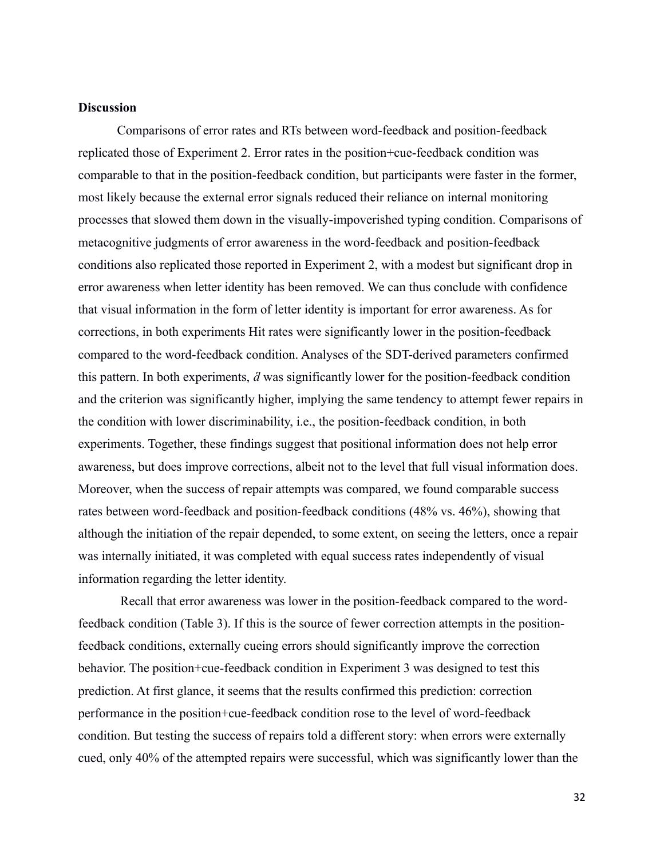#### **Discussion**

Comparisons of error rates and RTs between word-feedback and position-feedback replicated those of Experiment 2. Error rates in the position+cue-feedback condition was comparable to that in the position-feedback condition, but participants were faster in the former, most likely because the external error signals reduced their reliance on internal monitoring processes that slowed them down in the visually-impoverished typing condition. Comparisons of metacognitive judgments of error awareness in the word-feedback and position-feedback conditions also replicated those reported in Experiment 2, with a modest but significant drop in error awareness when letter identity has been removed. We can thus conclude with confidence that visual information in the form of letter identity is important for error awareness. As for corrections, in both experiments Hit rates were significantly lower in the position-feedback compared to the word-feedback condition. Analyses of the SDT-derived parameters confirmed this pattern. In both experiments, *d́* was significantly lower for the position-feedback condition and the criterion was significantly higher, implying the same tendency to attempt fewer repairs in the condition with lower discriminability, i.e., the position-feedback condition, in both experiments. Together, these findings suggest that positional information does not help error awareness, but does improve corrections, albeit not to the level that full visual information does. Moreover, when the success of repair attempts was compared, we found comparable success rates between word-feedback and position-feedback conditions (48% vs. 46%), showing that although the initiation of the repair depended, to some extent, on seeing the letters, once a repair was internally initiated, it was completed with equal success rates independently of visual information regarding the letter identity.

 Recall that error awareness was lower in the position-feedback compared to the wordfeedback condition (Table 3). If this is the source of fewer correction attempts in the positionfeedback conditions, externally cueing errors should significantly improve the correction behavior. The position+cue-feedback condition in Experiment 3 was designed to test this prediction. At first glance, it seems that the results confirmed this prediction: correction performance in the position+cue-feedback condition rose to the level of word-feedback condition. But testing the success of repairs told a different story: when errors were externally cued, only 40% of the attempted repairs were successful, which was significantly lower than the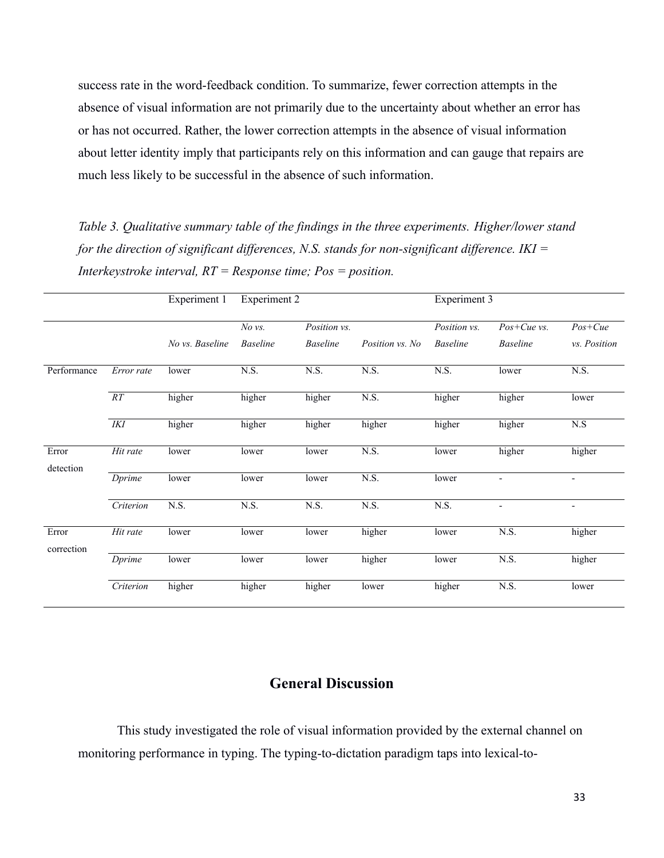success rate in the word-feedback condition. To summarize, fewer correction attempts in the absence of visual information are not primarily due to the uncertainty about whether an error has or has not occurred. Rather, the lower correction attempts in the absence of visual information about letter identity imply that participants rely on this information and can gauge that repairs are much less likely to be successful in the absence of such information.

*Table 3. Qualitative summary table of the findings in the three experiments. Higher/lower stand for the direction of significant differences, N.S. stands for non-significant difference. IKI = Interkeystroke interval, RT = Response time; Pos = position.*

|                     |                  | Experiment 1    | <b>Experiment 2</b> |                 |                          | Experiment 3    |                          |                          |
|---------------------|------------------|-----------------|---------------------|-----------------|--------------------------|-----------------|--------------------------|--------------------------|
|                     |                  |                 | No vs.              | Position vs.    |                          | Position vs.    | $Pos+Cue$ vs.            | $Pos+Cue$                |
|                     |                  | No vs. Baseline | <b>Baseline</b>     | <b>Baseline</b> | Position vs. No          | <b>Baseline</b> | <b>Baseline</b>          | vs. Position             |
| Performance         | Error rate       | lower           | N.S.                | N.S.            | $\overline{\text{N.S.}}$ | N.S.            | lower                    | N.S.                     |
|                     | RT               | higher          | higher              | higher          | N.S.                     | higher          | higher                   | lower                    |
|                     | $\overline{IKI}$ | higher          | higher              | higher          | higher                   | higher          | higher                   | $_{\rm N.S}$             |
| Error               | Hit rate         | lower           | lower               | lower           | N.S.                     | lower           | higher                   | higher                   |
| detection           | Dprime           | lower           | lower               | lower           | N.S.                     | lower           |                          | $\overline{\phantom{0}}$ |
|                     | Criterion        | N.S.            | N.S.                | N.S.            | N.S.                     | N.S.            | $\overline{\phantom{0}}$ | ۰                        |
| Error<br>correction | Hit rate         | lower           | lower               | lower           | higher                   | lower           | N.S.                     | higher                   |
|                     | Dprime           | lower           | lower               | lower           | higher                   | lower           | N.S.                     | higher                   |
|                     | Criterion        | higher          | higher              | higher          | lower                    | higher          | N.S.                     | lower                    |

## **General Discussion**

This study investigated the role of visual information provided by the external channel on monitoring performance in typing. The typing-to-dictation paradigm taps into lexical-to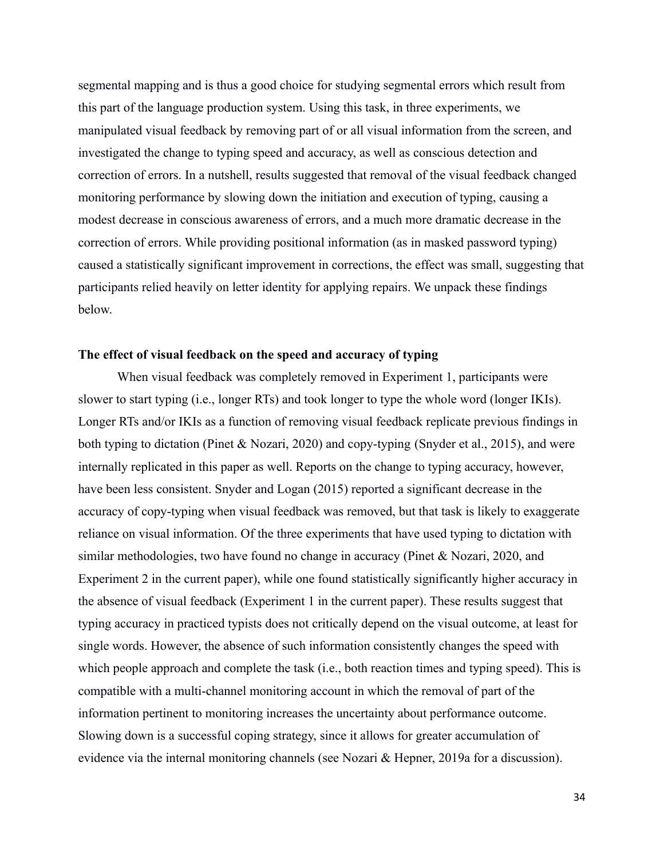segmental mapping and is thus a good choice for studying segmental errors which result from this part of the language production system. Using this task, in three experiments, we manipulated visual feedback by removing part of or all visual information from the screen, and investigated the change to typing speed and accuracy, as well as conscious detection and correction of errors. In a nutshell, results suggested that removal of the visual feedback changed monitoring performance by slowing down the initiation and execution of typing, causing a modest decrease in conscious awareness of errors, and a much more dramatic decrease in the correction of errors. While providing positional information (as in masked password typing) caused a statistically significant improvement in corrections, the effect was small, suggesting that participants relied heavily on letter identity for applying repairs. We unpack these findings below.

#### **The effect of visual feedback on the speed and accuracy of typing**

When visual feedback was completely removed in Experiment 1, participants were slower to start typing (i.e., longer RTs) and took longer to type the whole word (longer IKIs). Longer RTs and/or IKIs as a function of removing visual feedback replicate previous findings in both typing to dictation (Pinet & Nozari, 2020) and copy-typing (Snyder et al., 2015), and were internally replicated in this paper as well. Reports on the change to typing accuracy, however, have been less consistent. Snyder and Logan (2015) reported a significant decrease in the accuracy of copy-typing when visual feedback was removed, but that task is likely to exaggerate reliance on visual information. Of the three experiments that have used typing to dictation with similar methodologies, two have found no change in accuracy (Pinet & Nozari, 2020, and Experiment 2 in the current paper), while one found statistically significantly higher accuracy in the absence of visual feedback (Experiment 1 in the current paper). These results suggest that typing accuracy in practiced typists does not critically depend on the visual outcome, at least for single words. However, the absence of such information consistently changes the speed with which people approach and complete the task (i.e., both reaction times and typing speed). This is compatible with a multi-channel monitoring account in which the removal of part of the information pertinent to monitoring increases the uncertainty about performance outcome. Slowing down is a successful coping strategy, since it allows for greater accumulation of evidence via the internal monitoring channels (see Nozari & Hepner, 2019a for a discussion).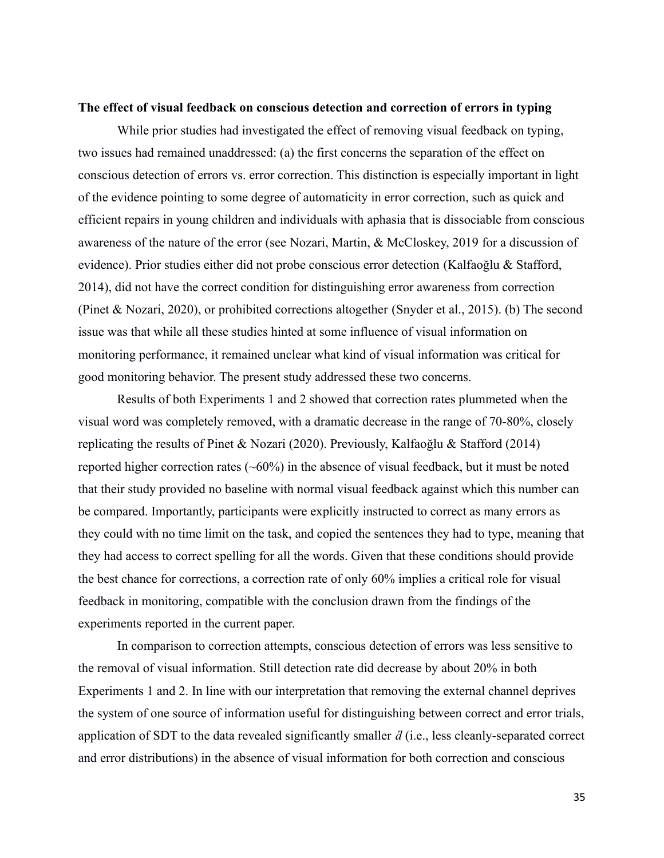#### **The effect of visual feedback on conscious detection and correction of errors in typing**

While prior studies had investigated the effect of removing visual feedback on typing, two issues had remained unaddressed: (a) the first concerns the separation of the effect on conscious detection of errors vs. error correction. This distinction is especially important in light of the evidence pointing to some degree of automaticity in error correction, such as quick and efficient repairs in young children and individuals with aphasia that is dissociable from conscious awareness of the nature of the error (see Nozari, Martin, & McCloskey, 2019 for a discussion of evidence). Prior studies either did not probe conscious error detection (Kalfaoğlu & Stafford, 2014), did not have the correct condition for distinguishing error awareness from correction (Pinet & Nozari, 2020), or prohibited corrections altogether (Snyder et al., 2015). (b) The second issue was that while all these studies hinted at some influence of visual information on monitoring performance, it remained unclear what kind of visual information was critical for good monitoring behavior. The present study addressed these two concerns.

Results of both Experiments 1 and 2 showed that correction rates plummeted when the visual word was completely removed, with a dramatic decrease in the range of 70-80%, closely replicating the results of Pinet & Nozari (2020). Previously, Kalfaoğlu & Stafford (2014) reported higher correction rates  $(\sim 60\%)$  in the absence of visual feedback, but it must be noted that their study provided no baseline with normal visual feedback against which this number can be compared. Importantly, participants were explicitly instructed to correct as many errors as they could with no time limit on the task, and copied the sentences they had to type, meaning that they had access to correct spelling for all the words. Given that these conditions should provide the best chance for corrections, a correction rate of only 60% implies a critical role for visual feedback in monitoring, compatible with the conclusion drawn from the findings of the experiments reported in the current paper.

In comparison to correction attempts, conscious detection of errors was less sensitive to the removal of visual information. Still detection rate did decrease by about 20% in both Experiments 1 and 2. In line with our interpretation that removing the external channel deprives the system of one source of information useful for distinguishing between correct and error trials, application of SDT to the data revealed significantly smaller *d́* (i.e., less cleanly-separated correct and error distributions) in the absence of visual information for both correction and conscious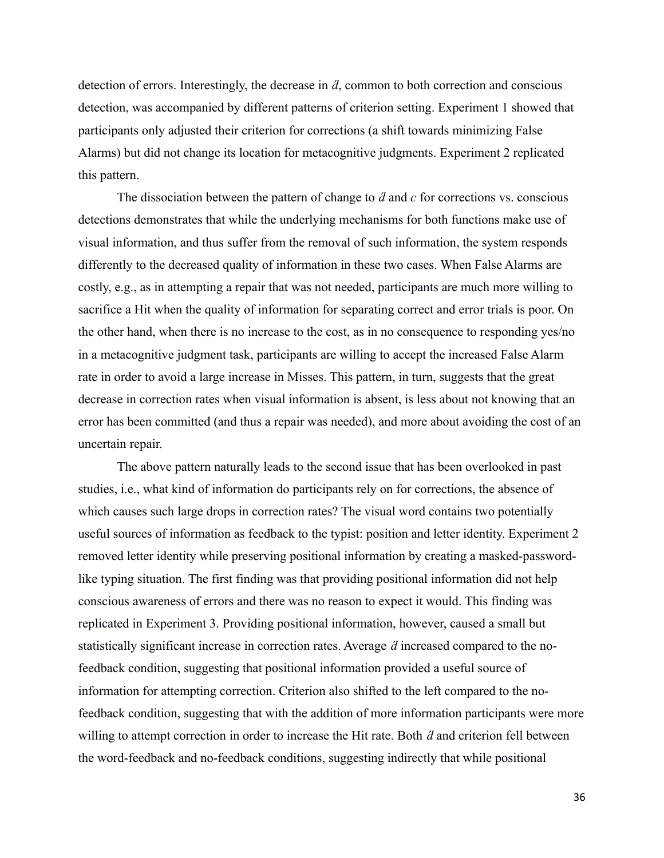detection of errors. Interestingly, the decrease in *d́* , common to both correction and conscious detection, was accompanied by different patterns of criterion setting. Experiment 1 showed that participants only adjusted their criterion for corrections (a shift towards minimizing False Alarms) but did not change its location for metacognitive judgments. Experiment 2 replicated this pattern.

The dissociation between the pattern of change to *d́* and *c* for corrections vs. conscious detections demonstrates that while the underlying mechanisms for both functions make use of visual information, and thus suffer from the removal of such information, the system responds differently to the decreased quality of information in these two cases. When False Alarms are costly, e.g., as in attempting a repair that was not needed, participants are much more willing to sacrifice a Hit when the quality of information for separating correct and error trials is poor. On the other hand, when there is no increase to the cost, as in no consequence to responding yes/no in a metacognitive judgment task, participants are willing to accept the increased False Alarm rate in order to avoid a large increase in Misses. This pattern, in turn, suggests that the great decrease in correction rates when visual information is absent, is less about not knowing that an error has been committed (and thus a repair was needed), and more about avoiding the cost of an uncertain repair.

The above pattern naturally leads to the second issue that has been overlooked in past studies, i.e., what kind of information do participants rely on for corrections, the absence of which causes such large drops in correction rates? The visual word contains two potentially useful sources of information as feedback to the typist: position and letter identity. Experiment 2 removed letter identity while preserving positional information by creating a masked-passwordlike typing situation. The first finding was that providing positional information did not help conscious awareness of errors and there was no reason to expect it would. This finding was replicated in Experiment 3. Providing positional information, however, caused a small but statistically significant increase in correction rates. Average *d́* increased compared to the nofeedback condition, suggesting that positional information provided a useful source of information for attempting correction. Criterion also shifted to the left compared to the nofeedback condition, suggesting that with the addition of more information participants were more willing to attempt correction in order to increase the Hit rate. Both *d́* and criterion fell between the word-feedback and no-feedback conditions, suggesting indirectly that while positional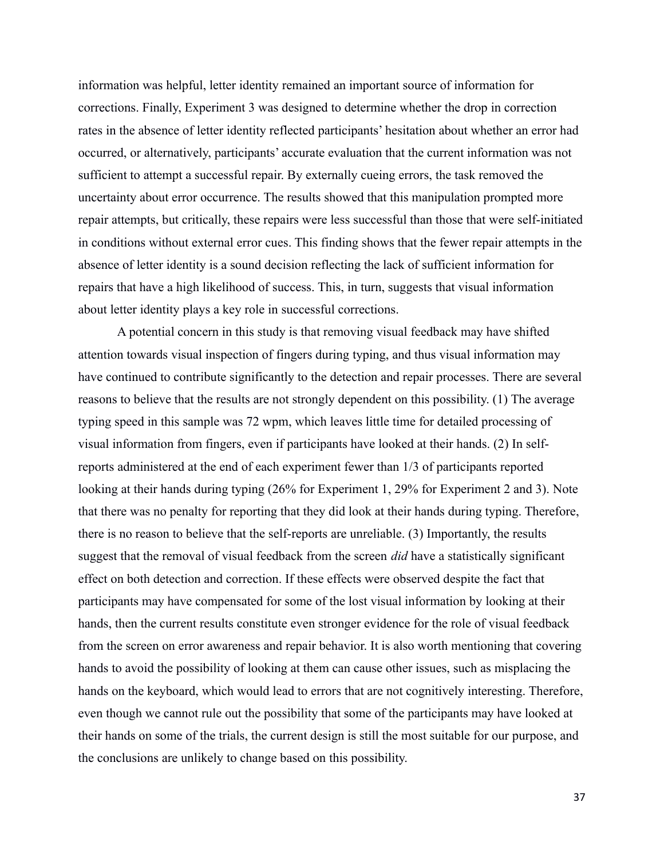information was helpful, letter identity remained an important source of information for corrections. Finally, Experiment 3 was designed to determine whether the drop in correction rates in the absence of letter identity reflected participants' hesitation about whether an error had occurred, or alternatively, participants' accurate evaluation that the current information was not sufficient to attempt a successful repair. By externally cueing errors, the task removed the uncertainty about error occurrence. The results showed that this manipulation prompted more repair attempts, but critically, these repairs were less successful than those that were self-initiated in conditions without external error cues. This finding shows that the fewer repair attempts in the absence of letter identity is a sound decision reflecting the lack of sufficient information for repairs that have a high likelihood of success. This, in turn, suggests that visual information about letter identity plays a key role in successful corrections.

A potential concern in this study is that removing visual feedback may have shifted attention towards visual inspection of fingers during typing, and thus visual information may have continued to contribute significantly to the detection and repair processes. There are several reasons to believe that the results are not strongly dependent on this possibility. (1) The average typing speed in this sample was 72 wpm, which leaves little time for detailed processing of visual information from fingers, even if participants have looked at their hands. (2) In selfreports administered at the end of each experiment fewer than 1/3 of participants reported looking at their hands during typing (26% for Experiment 1, 29% for Experiment 2 and 3). Note that there was no penalty for reporting that they did look at their hands during typing. Therefore, there is no reason to believe that the self-reports are unreliable. (3) Importantly, the results suggest that the removal of visual feedback from the screen *did* have a statistically significant effect on both detection and correction. If these effects were observed despite the fact that participants may have compensated for some of the lost visual information by looking at their hands, then the current results constitute even stronger evidence for the role of visual feedback from the screen on error awareness and repair behavior. It is also worth mentioning that covering hands to avoid the possibility of looking at them can cause other issues, such as misplacing the hands on the keyboard, which would lead to errors that are not cognitively interesting. Therefore, even though we cannot rule out the possibility that some of the participants may have looked at their hands on some of the trials, the current design is still the most suitable for our purpose, and the conclusions are unlikely to change based on this possibility.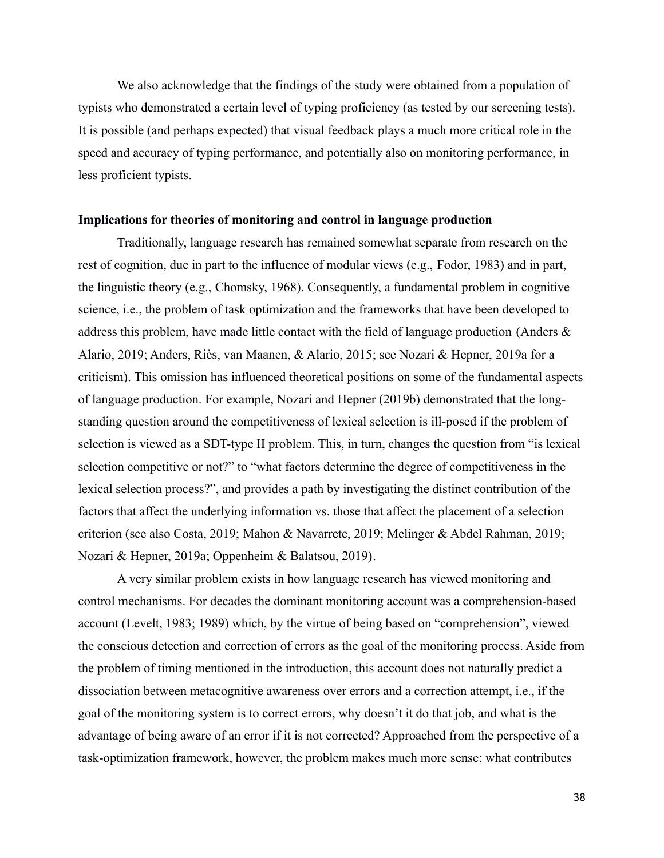We also acknowledge that the findings of the study were obtained from a population of typists who demonstrated a certain level of typing proficiency (as tested by our screening tests). It is possible (and perhaps expected) that visual feedback plays a much more critical role in the speed and accuracy of typing performance, and potentially also on monitoring performance, in less proficient typists.

#### **Implications for theories of monitoring and control in language production**

Traditionally, language research has remained somewhat separate from research on the rest of cognition, due in part to the influence of modular views (e.g., Fodor, 1983) and in part, the linguistic theory (e.g., Chomsky, 1968). Consequently, a fundamental problem in cognitive science, i.e., the problem of task optimization and the frameworks that have been developed to address this problem, have made little contact with the field of language production (Anders & Alario, 2019; Anders, Riès, van Maanen, & Alario, 2015; see Nozari & Hepner, 2019a for a criticism). This omission has influenced theoretical positions on some of the fundamental aspects of language production. For example, Nozari and Hepner (2019b) demonstrated that the longstanding question around the competitiveness of lexical selection is ill-posed if the problem of selection is viewed as a SDT-type II problem. This, in turn, changes the question from "is lexical selection competitive or not?" to "what factors determine the degree of competitiveness in the lexical selection process?", and provides a path by investigating the distinct contribution of the factors that affect the underlying information vs. those that affect the placement of a selection criterion (see also Costa, 2019; Mahon & Navarrete, 2019; Melinger & Abdel Rahman, 2019; Nozari & Hepner, 2019a; Oppenheim & Balatsou, 2019).

A very similar problem exists in how language research has viewed monitoring and control mechanisms. For decades the dominant monitoring account was a comprehension-based account (Levelt, 1983; 1989) which, by the virtue of being based on "comprehension", viewed the conscious detection and correction of errors as the goal of the monitoring process. Aside from the problem of timing mentioned in the introduction, this account does not naturally predict a dissociation between metacognitive awareness over errors and a correction attempt, i.e., if the goal of the monitoring system is to correct errors, why doesn't it do that job, and what is the advantage of being aware of an error if it is not corrected? Approached from the perspective of a task-optimization framework, however, the problem makes much more sense: what contributes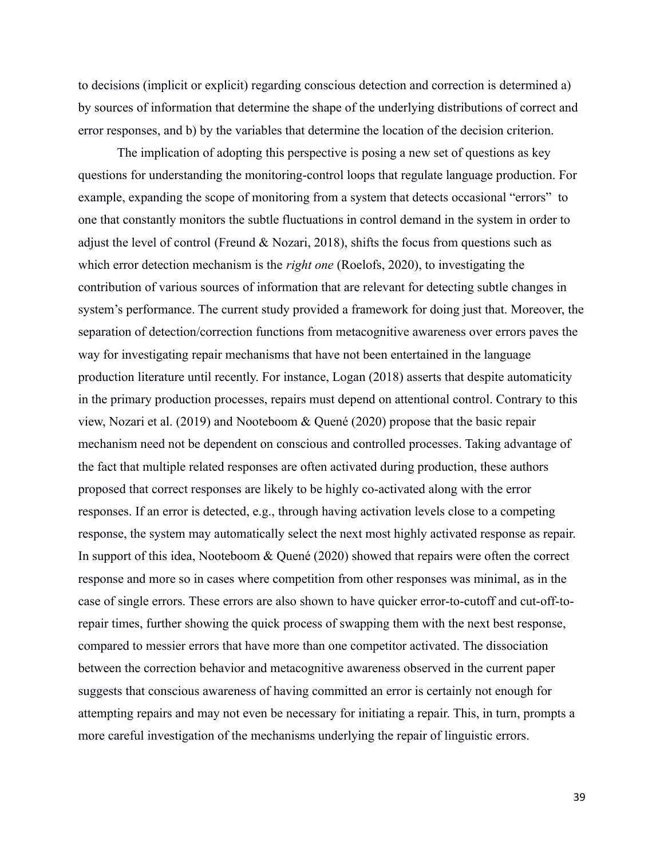to decisions (implicit or explicit) regarding conscious detection and correction is determined a) by sources of information that determine the shape of the underlying distributions of correct and error responses, and b) by the variables that determine the location of the decision criterion.

The implication of adopting this perspective is posing a new set of questions as key questions for understanding the monitoring-control loops that regulate language production. For example, expanding the scope of monitoring from a system that detects occasional "errors" to one that constantly monitors the subtle fluctuations in control demand in the system in order to adjust the level of control (Freund  $& Nozari, 2018$ ), shifts the focus from questions such as which error detection mechanism is the *right one* (Roelofs, 2020), to investigating the contribution of various sources of information that are relevant for detecting subtle changes in system's performance. The current study provided a framework for doing just that. Moreover, the separation of detection/correction functions from metacognitive awareness over errors paves the way for investigating repair mechanisms that have not been entertained in the language production literature until recently. For instance, Logan (2018) asserts that despite automaticity in the primary production processes, repairs must depend on attentional control. Contrary to this view, Nozari et al. (2019) and Nooteboom & Quené (2020) propose that the basic repair mechanism need not be dependent on conscious and controlled processes. Taking advantage of the fact that multiple related responses are often activated during production, these authors proposed that correct responses are likely to be highly co-activated along with the error responses. If an error is detected, e.g., through having activation levels close to a competing response, the system may automatically select the next most highly activated response as repair. In support of this idea, Nooteboom & Quené (2020) showed that repairs were often the correct response and more so in cases where competition from other responses was minimal, as in the case of single errors. These errors are also shown to have quicker error-to-cutoff and cut-off-torepair times, further showing the quick process of swapping them with the next best response, compared to messier errors that have more than one competitor activated. The dissociation between the correction behavior and metacognitive awareness observed in the current paper suggests that conscious awareness of having committed an error is certainly not enough for attempting repairs and may not even be necessary for initiating a repair. This, in turn, prompts a more careful investigation of the mechanisms underlying the repair of linguistic errors.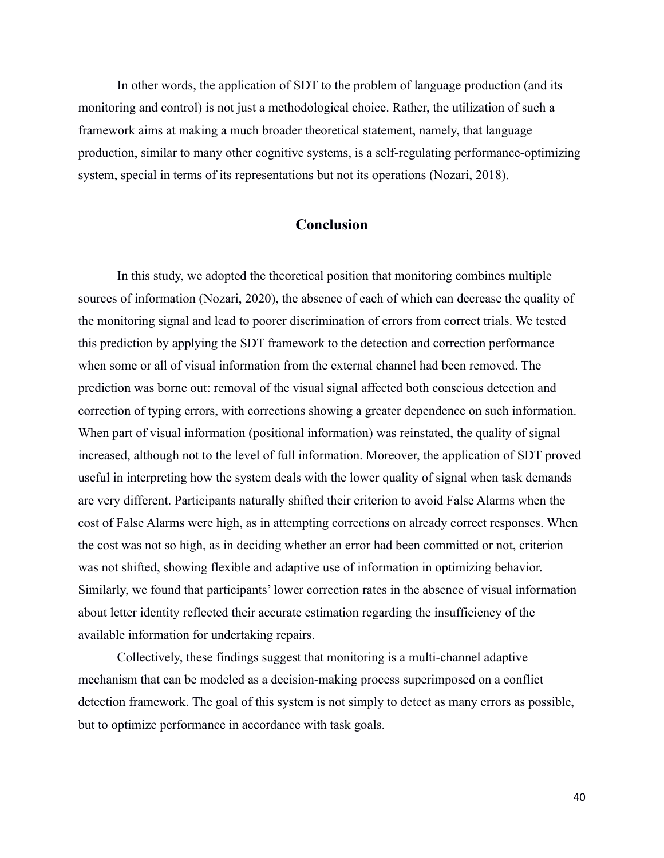In other words, the application of SDT to the problem of language production (and its monitoring and control) is not just a methodological choice. Rather, the utilization of such a framework aims at making a much broader theoretical statement, namely, that language production, similar to many other cognitive systems, is a self-regulating performance-optimizing system, special in terms of its representations but not its operations (Nozari, 2018).

## **Conclusion**

In this study, we adopted the theoretical position that monitoring combines multiple sources of information (Nozari, 2020), the absence of each of which can decrease the quality of the monitoring signal and lead to poorer discrimination of errors from correct trials. We tested this prediction by applying the SDT framework to the detection and correction performance when some or all of visual information from the external channel had been removed. The prediction was borne out: removal of the visual signal affected both conscious detection and correction of typing errors, with corrections showing a greater dependence on such information. When part of visual information (positional information) was reinstated, the quality of signal increased, although not to the level of full information. Moreover, the application of SDT proved useful in interpreting how the system deals with the lower quality of signal when task demands are very different. Participants naturally shifted their criterion to avoid False Alarms when the cost of False Alarms were high, as in attempting corrections on already correct responses. When the cost was not so high, as in deciding whether an error had been committed or not, criterion was not shifted, showing flexible and adaptive use of information in optimizing behavior. Similarly, we found that participants' lower correction rates in the absence of visual information about letter identity reflected their accurate estimation regarding the insufficiency of the available information for undertaking repairs.

Collectively, these findings suggest that monitoring is a multi-channel adaptive mechanism that can be modeled as a decision-making process superimposed on a conflict detection framework. The goal of this system is not simply to detect as many errors as possible, but to optimize performance in accordance with task goals.

40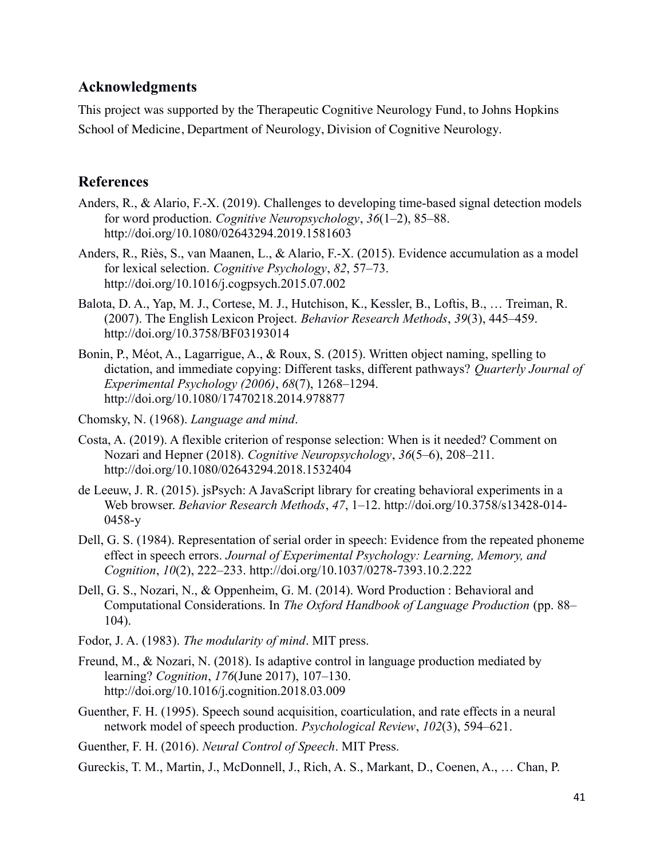## **Acknowledgments**

This project was supported by the Therapeutic Cognitive Neurology Fund, to Johns Hopkins School of Medicine, Department of Neurology, Division of Cognitive Neurology.

## **References**

- Anders, R., & Alario, F.-X. (2019). Challenges to developing time-based signal detection models for word production. *Cognitive Neuropsychology*, *36*(1–2), 85–88. http://doi.org/10.1080/02643294.2019.1581603
- Anders, R., Riès, S., van Maanen, L., & Alario, F.-X. (2015). Evidence accumulation as a model for lexical selection. *Cognitive Psychology*, *82*, 57–73. http://doi.org/10.1016/j.cogpsych.2015.07.002
- Balota, D. A., Yap, M. J., Cortese, M. J., Hutchison, K., Kessler, B., Loftis, B., … Treiman, R. (2007). The English Lexicon Project. *Behavior Research Methods*, *39*(3), 445–459. http://doi.org/10.3758/BF03193014
- Bonin, P., Méot, A., Lagarrigue, A., & Roux, S. (2015). Written object naming, spelling to dictation, and immediate copying: Different tasks, different pathways? *Quarterly Journal of Experimental Psychology (2006)*, *68*(7), 1268–1294. http://doi.org/10.1080/17470218.2014.978877
- Chomsky, N. (1968). *Language and mind*.
- Costa, A. (2019). A flexible criterion of response selection: When is it needed? Comment on Nozari and Hepner (2018). *Cognitive Neuropsychology*, *36*(5–6), 208–211. http://doi.org/10.1080/02643294.2018.1532404
- de Leeuw, J. R. (2015). jsPsych: A JavaScript library for creating behavioral experiments in a Web browser. *Behavior Research Methods*, *47*, 1–12. http://doi.org/10.3758/s13428-014- 0458-y
- Dell, G. S. (1984). Representation of serial order in speech: Evidence from the repeated phoneme effect in speech errors. *Journal of Experimental Psychology: Learning, Memory, and Cognition*, *10*(2), 222–233. http://doi.org/10.1037/0278-7393.10.2.222
- Dell, G. S., Nozari, N., & Oppenheim, G. M. (2014). Word Production : Behavioral and Computational Considerations. In *The Oxford Handbook of Language Production* (pp. 88– 104).
- Fodor, J. A. (1983). *The modularity of mind*. MIT press.
- Freund, M., & Nozari, N. (2018). Is adaptive control in language production mediated by learning? *Cognition*, *176*(June 2017), 107–130. http://doi.org/10.1016/j.cognition.2018.03.009
- Guenther, F. H. (1995). Speech sound acquisition, coarticulation, and rate effects in a neural network model of speech production. *Psychological Review*, *102*(3), 594–621.

Guenther, F. H. (2016). *Neural Control of Speech*. MIT Press.

Gureckis, T. M., Martin, J., McDonnell, J., Rich, A. S., Markant, D., Coenen, A., … Chan, P.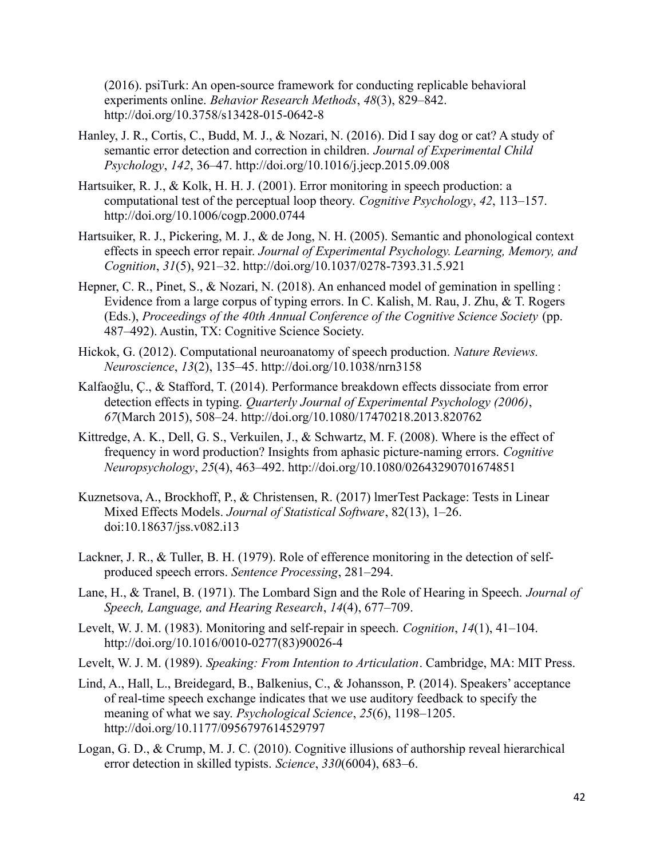(2016). psiTurk: An open-source framework for conducting replicable behavioral experiments online. *Behavior Research Methods*, *48*(3), 829–842. http://doi.org/10.3758/s13428-015-0642-8

- Hanley, J. R., Cortis, C., Budd, M. J., & Nozari, N. (2016). Did I say dog or cat? A study of semantic error detection and correction in children. *Journal of Experimental Child Psychology*, *142*, 36–47. http://doi.org/10.1016/j.jecp.2015.09.008
- Hartsuiker, R. J., & Kolk, H. H. J. (2001). Error monitoring in speech production: a computational test of the perceptual loop theory. *Cognitive Psychology*, *42*, 113–157. http://doi.org/10.1006/cogp.2000.0744
- Hartsuiker, R. J., Pickering, M. J., & de Jong, N. H. (2005). Semantic and phonological context effects in speech error repair. *Journal of Experimental Psychology. Learning, Memory, and Cognition*, *31*(5), 921–32. http://doi.org/10.1037/0278-7393.31.5.921
- Hepner, C. R., Pinet, S., & Nozari, N. (2018). An enhanced model of gemination in spelling : Evidence from a large corpus of typing errors. In C. Kalish, M. Rau, J. Zhu, & T. Rogers (Eds.), *Proceedings of the 40th Annual Conference of the Cognitive Science Society* (pp. 487–492). Austin, TX: Cognitive Science Society.
- Hickok, G. (2012). Computational neuroanatomy of speech production. *Nature Reviews. Neuroscience*, *13*(2), 135–45. http://doi.org/10.1038/nrn3158
- Kalfaoğlu, Ç., & Stafford, T. (2014). Performance breakdown effects dissociate from error detection effects in typing. *Quarterly Journal of Experimental Psychology (2006)*, *67*(March 2015), 508–24. http://doi.org/10.1080/17470218.2013.820762
- Kittredge, A. K., Dell, G. S., Verkuilen, J., & Schwartz, M. F. (2008). Where is the effect of frequency in word production? Insights from aphasic picture-naming errors. *Cognitive Neuropsychology*, *25*(4), 463–492. http://doi.org/10.1080/02643290701674851
- Kuznetsova, A., Brockhoff, P., & Christensen, R. (2017) lmerTest Package: Tests in Linear Mixed Effects Models. *Journal of Statistical Software*, 82(13), 1–26. doi:10.18637/jss.v082.i13
- Lackner, J. R., & Tuller, B. H. (1979). Role of efference monitoring in the detection of selfproduced speech errors. *Sentence Processing*, 281–294.
- Lane, H., & Tranel, B. (1971). The Lombard Sign and the Role of Hearing in Speech. *Journal of Speech, Language, and Hearing Research*, *14*(4), 677–709.
- Levelt, W. J. M. (1983). Monitoring and self-repair in speech. *Cognition*, *14*(1), 41–104. http://doi.org/10.1016/0010-0277(83)90026-4
- Levelt, W. J. M. (1989). *Speaking: From Intention to Articulation*. Cambridge, MA: MIT Press.
- Lind, A., Hall, L., Breidegard, B., Balkenius, C., & Johansson, P. (2014). Speakers' acceptance of real-time speech exchange indicates that we use auditory feedback to specify the meaning of what we say. *Psychological Science*, *25*(6), 1198–1205. http://doi.org/10.1177/0956797614529797
- Logan, G. D., & Crump, M. J. C. (2010). Cognitive illusions of authorship reveal hierarchical error detection in skilled typists. *Science*, *330*(6004), 683–6.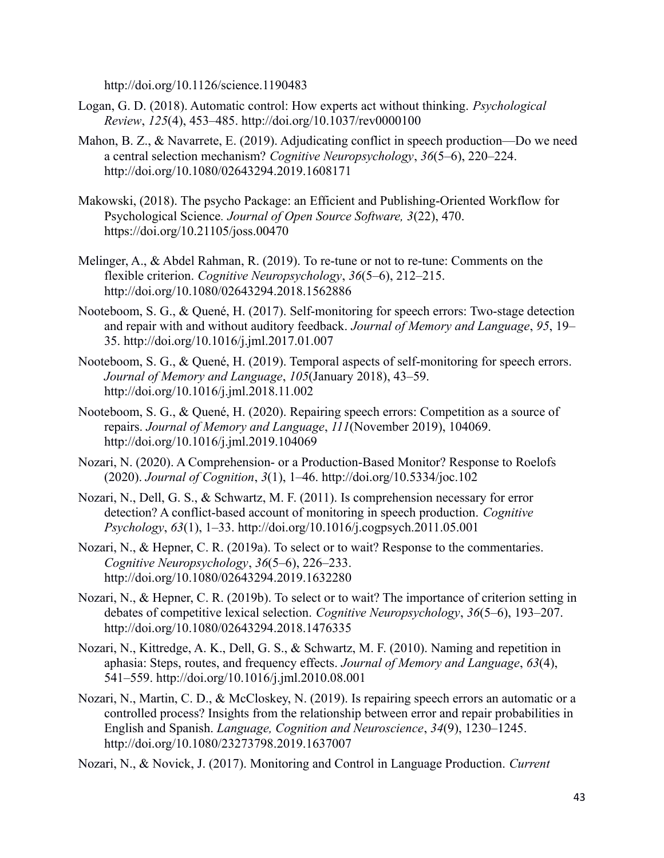http://doi.org/10.1126/science.1190483

- Logan, G. D. (2018). Automatic control: How experts act without thinking. *Psychological Review*, *125*(4), 453–485. http://doi.org/10.1037/rev0000100
- Mahon, B. Z., & Navarrete, E. (2019). Adjudicating conflict in speech production—Do we need a central selection mechanism? *Cognitive Neuropsychology*, *36*(5–6), 220–224. http://doi.org/10.1080/02643294.2019.1608171
- Makowski, (2018). The psycho Package: an Efficient and Publishing-Oriented Workflow for Psychological Science*. Journal of Open Source Software, 3*(22), 470. https://doi.org/10.21105/joss.00470
- Melinger, A., & Abdel Rahman, R. (2019). To re-tune or not to re-tune: Comments on the flexible criterion. *Cognitive Neuropsychology*, *36*(5–6), 212–215. http://doi.org/10.1080/02643294.2018.1562886
- Nooteboom, S. G., & Quené, H. (2017). Self-monitoring for speech errors: Two-stage detection and repair with and without auditory feedback. *Journal of Memory and Language*, *95*, 19– 35. http://doi.org/10.1016/j.jml.2017.01.007
- Nooteboom, S. G., & Quené, H. (2019). Temporal aspects of self-monitoring for speech errors. *Journal of Memory and Language*, *105*(January 2018), 43–59. http://doi.org/10.1016/j.jml.2018.11.002
- Nooteboom, S. G., & Quené, H. (2020). Repairing speech errors: Competition as a source of repairs. *Journal of Memory and Language*, *111*(November 2019), 104069. http://doi.org/10.1016/j.jml.2019.104069
- Nozari, N. (2020). A Comprehension- or a Production-Based Monitor? Response to Roelofs (2020). *Journal of Cognition*, *3*(1), 1–46. http://doi.org/10.5334/joc.102
- Nozari, N., Dell, G. S., & Schwartz, M. F. (2011). Is comprehension necessary for error detection? A conflict-based account of monitoring in speech production. *Cognitive Psychology*, *63*(1), 1–33. http://doi.org/10.1016/j.cogpsych.2011.05.001
- Nozari, N., & Hepner, C. R. (2019a). To select or to wait? Response to the commentaries. *Cognitive Neuropsychology*, *36*(5–6), 226–233. http://doi.org/10.1080/02643294.2019.1632280
- Nozari, N., & Hepner, C. R. (2019b). To select or to wait? The importance of criterion setting in debates of competitive lexical selection. *Cognitive Neuropsychology*, *36*(5–6), 193–207. http://doi.org/10.1080/02643294.2018.1476335
- Nozari, N., Kittredge, A. K., Dell, G. S., & Schwartz, M. F. (2010). Naming and repetition in aphasia: Steps, routes, and frequency effects. *Journal of Memory and Language*, *63*(4), 541–559. http://doi.org/10.1016/j.jml.2010.08.001
- Nozari, N., Martin, C. D., & McCloskey, N. (2019). Is repairing speech errors an automatic or a controlled process? Insights from the relationship between error and repair probabilities in English and Spanish. *Language, Cognition and Neuroscience*, *34*(9), 1230–1245. http://doi.org/10.1080/23273798.2019.1637007
- Nozari, N., & Novick, J. (2017). Monitoring and Control in Language Production. *Current*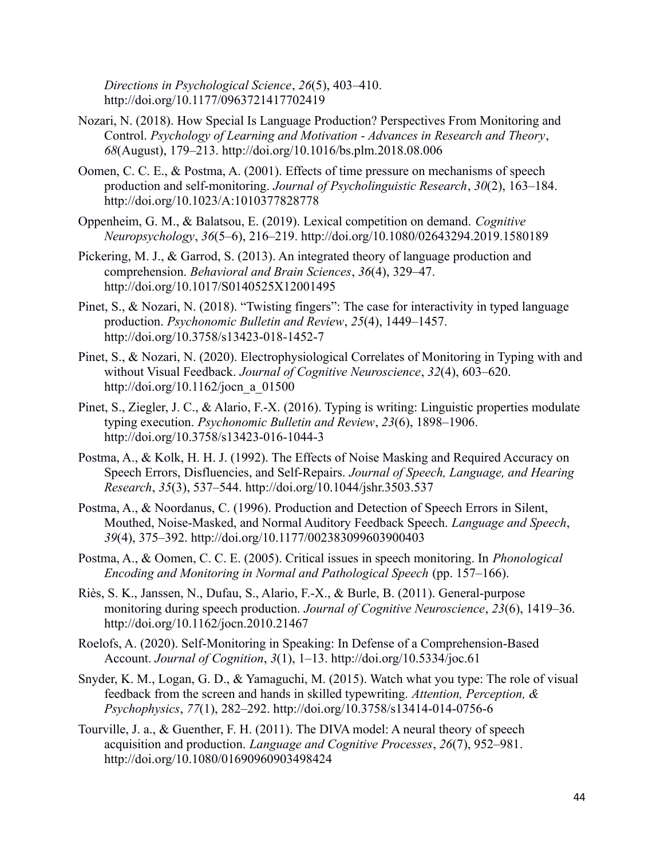*Directions in Psychological Science*, *26*(5), 403–410. http://doi.org/10.1177/0963721417702419

- Nozari, N. (2018). How Special Is Language Production? Perspectives From Monitoring and Control. *Psychology of Learning and Motivation - Advances in Research and Theory*, *68*(August), 179–213. http://doi.org/10.1016/bs.plm.2018.08.006
- Oomen, C. C. E., & Postma, A. (2001). Effects of time pressure on mechanisms of speech production and self-monitoring. *Journal of Psycholinguistic Research*, *30*(2), 163–184. http://doi.org/10.1023/A:1010377828778
- Oppenheim, G. M., & Balatsou, E. (2019). Lexical competition on demand. *Cognitive Neuropsychology*, *36*(5–6), 216–219. http://doi.org/10.1080/02643294.2019.1580189
- Pickering, M. J., & Garrod, S. (2013). An integrated theory of language production and comprehension. *Behavioral and Brain Sciences*, *36*(4), 329–47. http://doi.org/10.1017/S0140525X12001495
- Pinet, S., & Nozari, N. (2018). "Twisting fingers": The case for interactivity in typed language production. *Psychonomic Bulletin and Review*, *25*(4), 1449–1457. http://doi.org/10.3758/s13423-018-1452-7
- Pinet, S., & Nozari, N. (2020). Electrophysiological Correlates of Monitoring in Typing with and without Visual Feedback. *Journal of Cognitive Neuroscience*, *32*(4), 603–620. http://doi.org/10.1162/jocn\_a\_01500
- Pinet, S., Ziegler, J. C., & Alario, F.-X. (2016). Typing is writing: Linguistic properties modulate typing execution. *Psychonomic Bulletin and Review*, *23*(6), 1898–1906. http://doi.org/10.3758/s13423-016-1044-3
- Postma, A., & Kolk, H. H. J. (1992). The Effects of Noise Masking and Required Accuracy on Speech Errors, Disfluencies, and Self-Repairs. *Journal of Speech, Language, and Hearing Research*, *35*(3), 537–544. http://doi.org/10.1044/jshr.3503.537
- Postma, A., & Noordanus, C. (1996). Production and Detection of Speech Errors in Silent, Mouthed, Noise-Masked, and Normal Auditory Feedback Speech. *Language and Speech*, *39*(4), 375–392. http://doi.org/10.1177/002383099603900403
- Postma, A., & Oomen, C. C. E. (2005). Critical issues in speech monitoring. In *Phonological Encoding and Monitoring in Normal and Pathological Speech* (pp. 157–166).
- Riès, S. K., Janssen, N., Dufau, S., Alario, F.-X., & Burle, B. (2011). General-purpose monitoring during speech production. *Journal of Cognitive Neuroscience*, *23*(6), 1419–36. http://doi.org/10.1162/jocn.2010.21467
- Roelofs, A. (2020). Self-Monitoring in Speaking: In Defense of a Comprehension-Based Account. *Journal of Cognition*, *3*(1), 1–13. http://doi.org/10.5334/joc.61
- Snyder, K. M., Logan, G. D., & Yamaguchi, M. (2015). Watch what you type: The role of visual feedback from the screen and hands in skilled typewriting. *Attention, Perception, & Psychophysics*, *77*(1), 282–292. http://doi.org/10.3758/s13414-014-0756-6
- Tourville, J. a., & Guenther, F. H. (2011). The DIVA model: A neural theory of speech acquisition and production. *Language and Cognitive Processes*, *26*(7), 952–981. http://doi.org/10.1080/01690960903498424